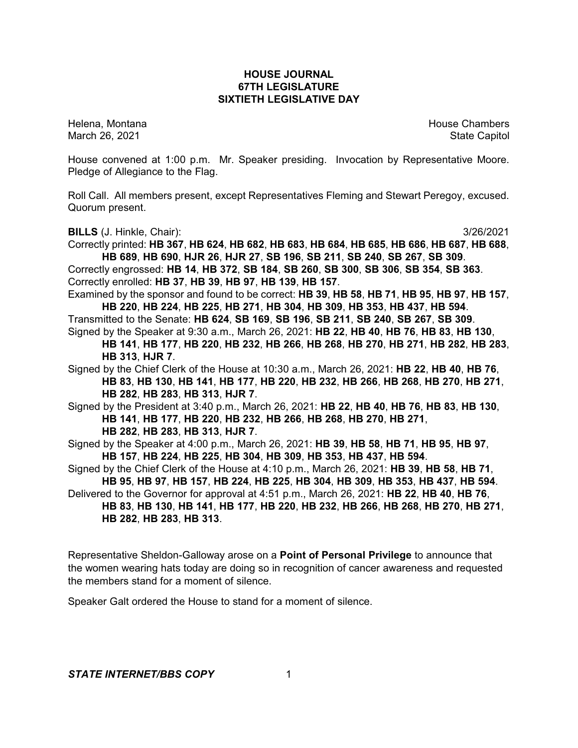## **HOUSE JOURNAL 67TH LEGISLATURE SIXTIETH LEGISLATIVE DAY**

Helena, Montana House Chambers Chambers Chambers Chambers Chambers Chambers Chambers Chambers Chambers Chambers March 26, 2021 **State Capitol** 

House convened at 1:00 p.m. Mr. Speaker presiding. Invocation by Representative Moore. Pledge of Allegiance to the Flag.

Roll Call. All members present, except Representatives Fleming and Stewart Peregoy, excused. Quorum present.

**BILLS** (J. Hinkle, Chair): 3/26/2021

Correctly printed: **HB 367**, **HB 624**, **HB 682**, **HB 683**, **HB 684**, **HB 685**, **HB 686**, **HB 687**, **HB 688**, **HB 689**, **HB 690**, **HJR 26**, **HJR 27**, **SB 196**, **SB 211**, **SB 240**, **SB 267**, **SB 309**. Correctly engrossed: **HB 14**, **HB 372**, **SB 184**, **SB 260**, **SB 300**, **SB 306**, **SB 354**, **SB 363**. Correctly enrolled: **HB 37**, **HB 39**, **HB 97**, **HB 139**, **HB 157**.

Examined by the sponsor and found to be correct: **HB 39**, **HB 58**, **HB 71**, **HB 95**, **HB 97**, **HB 157**, **HB 220**, **HB 224**, **HB 225**, **HB 271**, **HB 304**, **HB 309**, **HB 353**, **HB 437**, **HB 594**.

Transmitted to the Senate: **HB 624**, **SB 169**, **SB 196**, **SB 211**, **SB 240**, **SB 267**, **SB 309**. Signed by the Speaker at 9:30 a.m., March 26, 2021: **HB 22**, **HB 40**, **HB 76**, **HB 83**, **HB 130**, **HB 141**, **HB 177**, **HB 220**, **HB 232**, **HB 266**, **HB 268**, **HB 270**, **HB 271**, **HB 282**, **HB 283**,

**HB 313**, **HJR 7**.

Signed by the Chief Clerk of the House at 10:30 a.m., March 26, 2021: **HB 22**, **HB 40**, **HB 76**, **HB 83**, **HB 130**, **HB 141**, **HB 177**, **HB 220**, **HB 232**, **HB 266**, **HB 268**, **HB 270**, **HB 271**, **HB 282**, **HB 283**, **HB 313**, **HJR 7**.

Signed by the President at 3:40 p.m., March 26, 2021: **HB 22**, **HB 40**, **HB 76**, **HB 83**, **HB 130**, **HB 141**, **HB 177**, **HB 220**, **HB 232**, **HB 266**, **HB 268**, **HB 270**, **HB 271**,

**HB 282**, **HB 283**, **HB 313**, **HJR 7**.

Signed by the Speaker at 4:00 p.m., March 26, 2021: **HB 39**, **HB 58**, **HB 71**, **HB 95**, **HB 97**, **HB 157**, **HB 224**, **HB 225**, **HB 304**, **HB 309**, **HB 353**, **HB 437**, **HB 594**.

Signed by the Chief Clerk of the House at 4:10 p.m., March 26, 2021: **HB 39**, **HB 58**, **HB 71**, **HB 95**, **HB 97**, **HB 157**, **HB 224**, **HB 225**, **HB 304**, **HB 309**, **HB 353**, **HB 437**, **HB 594**.

Delivered to the Governor for approval at 4:51 p.m., March 26, 2021: **HB 22**, **HB 40**, **HB 76**, **HB 83**, **HB 130**, **HB 141**, **HB 177**, **HB 220**, **HB 232**, **HB 266**, **HB 268**, **HB 270**, **HB 271**, **HB 282**, **HB 283**, **HB 313**.

Representative Sheldon-Galloway arose on a **Point of Personal Privilege** to announce that the women wearing hats today are doing so in recognition of cancer awareness and requested the members stand for a moment of silence.

Speaker Galt ordered the House to stand for a moment of silence.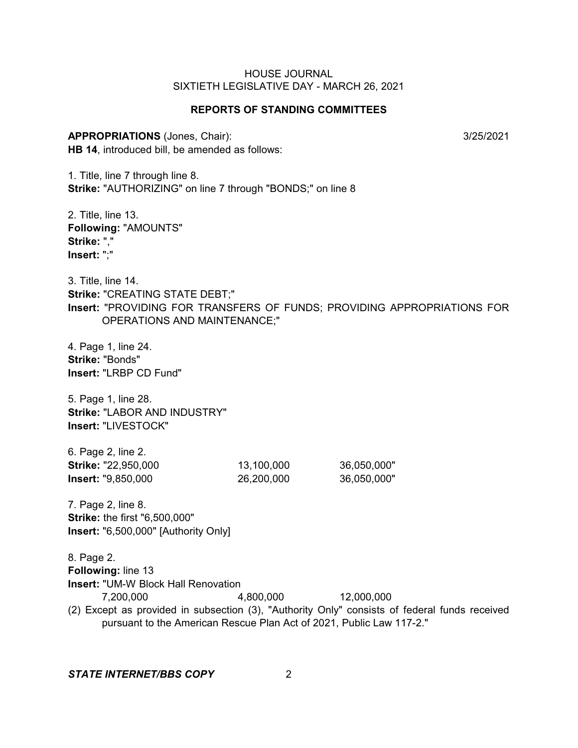#### **REPORTS OF STANDING COMMITTEES**

**APPROPRIATIONS** (Jones, Chair): 3/25/2021 **HB 14**, introduced bill, be amended as follows:

1. Title, line 7 through line 8. **Strike:** "AUTHORIZING" on line 7 through "BONDS;" on line 8

2. Title, line 13. **Following:** "AMOUNTS" **Strike:** "," **Insert:** ";"

3. Title, line 14. **Strike:** "CREATING STATE DEBT;" **Insert:** "PROVIDING FOR TRANSFERS OF FUNDS; PROVIDING APPROPRIATIONS FOR OPERATIONS AND MAINTENANCE;"

4. Page 1, line 24. **Strike:** "Bonds" **Insert:** "LRBP CD Fund"

5. Page 1, line 28. **Strike:** "LABOR AND INDUSTRY" **Insert:** "LIVESTOCK"

6. Page 2, line 2. **Strike:** "22,950,000 13,100,000 36,050,000" **Insert:** "9,850,000 26,200,000 36,050,000"

7. Page 2, line 8. **Strike:** the first "6,500,000" **Insert:** "6,500,000" [Authority Only]

8. Page 2. **Following:** line 13 **Insert:** "UM-W Block Hall Renovation 7,200,000 4,800,000 12,000,000 (2) Except as provided in subsection (3), "Authority Only" consists of federal funds received pursuant to the American Rescue Plan Act of 2021, Public Law 117-2."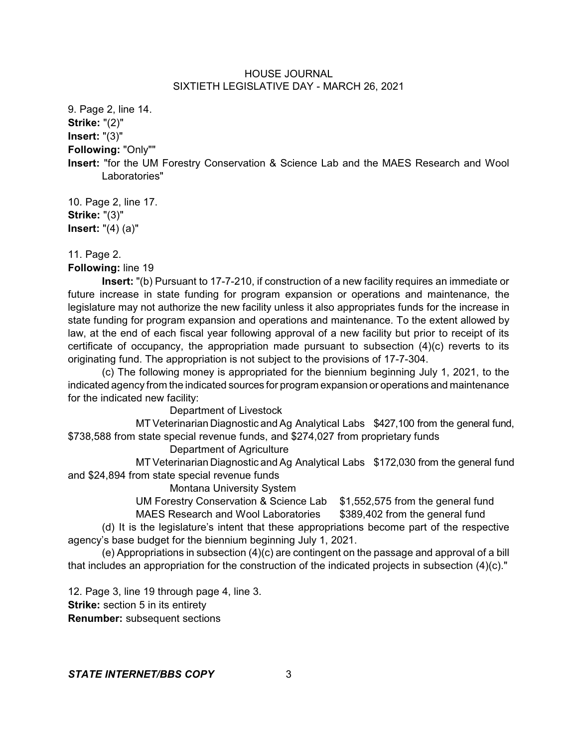9. Page 2, line 14. **Strike:** "(2)" **Insert:** "(3)" **Following:** "Only""

**Insert:** "for the UM Forestry Conservation & Science Lab and the MAES Research and Wool Laboratories"

10. Page 2, line 17. **Strike:** "(3)" **Insert:** "(4) (a)"

11. Page 2.

**Following:** line 19

**Insert:** "(b) Pursuant to 17-7-210, if construction of a new facility requires an immediate or future increase in state funding for program expansion or operations and maintenance, the legislature may not authorize the new facility unless it also appropriates funds for the increase in state funding for program expansion and operations and maintenance. To the extent allowed by law, at the end of each fiscal year following approval of a new facility but prior to receipt of its certificate of occupancy, the appropriation made pursuant to subsection (4)(c) reverts to its originating fund. The appropriation is not subject to the provisions of 17-7-304.

(c) The following money is appropriated for the biennium beginning July 1, 2021, to the indicated agency from the indicated sources for program expansion or operations and maintenance for the indicated new facility:

Department of Livestock

MT Veterinarian Diagnostic and Ag Analytical Labs \$427,100 from the general fund, \$738,588 from state special revenue funds, and \$274,027 from proprietary funds

Department of Agriculture

MT Veterinarian Diagnostic and Ag Analytical Labs \$172,030 from the general fund and \$24,894 from state special revenue funds

Montana University System

UM Forestry Conservation & Science Lab \$1,552,575 from the general fund

MAES Research and Wool Laboratories \$389,402 from the general fund

(d) It is the legislature's intent that these appropriations become part of the respective agency's base budget for the biennium beginning July 1, 2021.

(e) Appropriations in subsection (4)(c) are contingent on the passage and approval of a bill that includes an appropriation for the construction of the indicated projects in subsection (4)(c)."

12. Page 3, line 19 through page 4, line 3. **Strike:** section 5 in its entirety **Renumber:** subsequent sections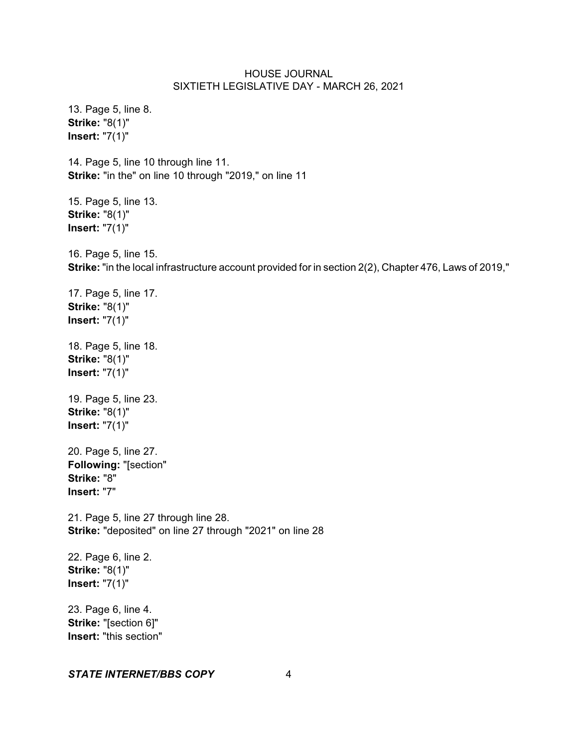13. Page 5, line 8. **Strike:** "8(1)" **Insert:** "7(1)" 14. Page 5, line 10 through line 11. **Strike:** "in the" on line 10 through "2019," on line 11 15. Page 5, line 13. **Strike:** "8(1)" **Insert:** "7(1)" 16. Page 5, line 15. **Strike:** "in the local infrastructure account provided for in section 2(2), Chapter 476, Laws of 2019," 17. Page 5, line 17. **Strike:** "8(1)" **Insert:** "7(1)" 18. Page 5, line 18. **Strike:** "8(1)" **Insert:** "7(1)" 19. Page 5, line 23. **Strike:** "8(1)" **Insert:** "7(1)" 20. Page 5, line 27. **Following:** "[section" **Strike:** "8" **Insert:** "7" 21. Page 5, line 27 through line 28. **Strike:** "deposited" on line 27 through "2021" on line 28 22. Page 6, line 2. **Strike:** "8(1)" **Insert:** "7(1)" 23. Page 6, line 4. **Strike:** "[section 6]" **Insert:** "this section"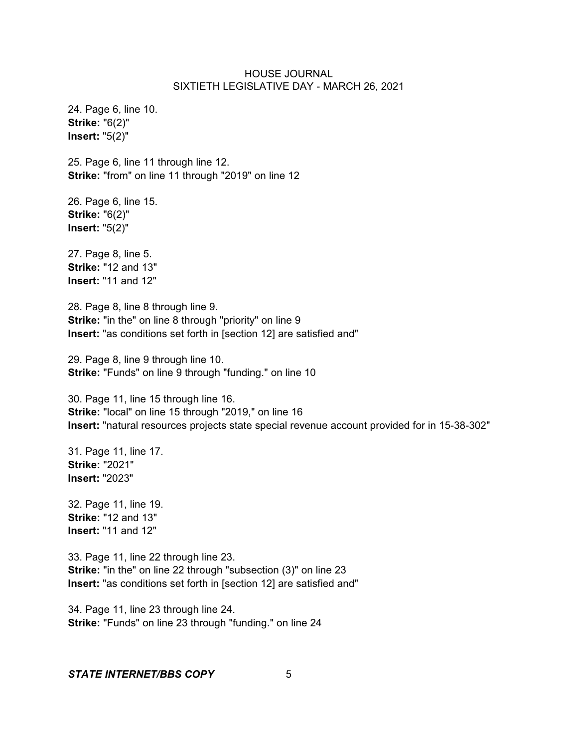24. Page 6, line 10. **Strike:** "6(2)" **Insert:** "5(2)"

25. Page 6, line 11 through line 12. **Strike:** "from" on line 11 through "2019" on line 12

26. Page 6, line 15. **Strike:** "6(2)" **Insert:** "5(2)"

27. Page 8, line 5. **Strike:** "12 and 13" **Insert:** "11 and 12"

28. Page 8, line 8 through line 9. **Strike:** "in the" on line 8 through "priority" on line 9 **Insert:** "as conditions set forth in [section 12] are satisfied and"

29. Page 8, line 9 through line 10. **Strike:** "Funds" on line 9 through "funding." on line 10

30. Page 11, line 15 through line 16. **Strike:** "local" on line 15 through "2019," on line 16 **Insert:** "natural resources projects state special revenue account provided for in 15-38-302"

31. Page 11, line 17. **Strike:** "2021" **Insert:** "2023"

32. Page 11, line 19. **Strike:** "12 and 13" **Insert:** "11 and 12"

33. Page 11, line 22 through line 23. **Strike:** "in the" on line 22 through "subsection (3)" on line 23 **Insert:** "as conditions set forth in [section 12] are satisfied and"

34. Page 11, line 23 through line 24. **Strike:** "Funds" on line 23 through "funding." on line 24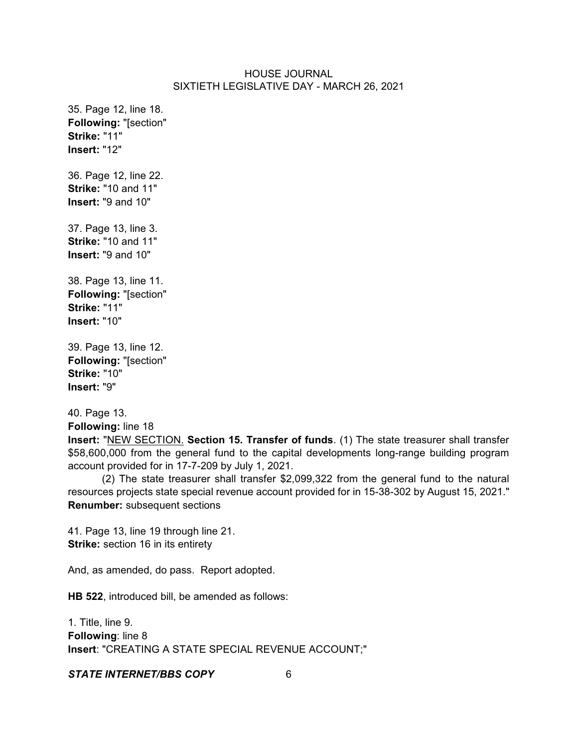35. Page 12, line 18. **Following:** "[section" **Strike:** "11" **Insert:** "12"

36. Page 12, line 22. **Strike:** "10 and 11" **Insert:** "9 and 10"

37. Page 13, line 3. **Strike:** "10 and 11" **Insert:** "9 and 10"

38. Page 13, line 11. **Following:** "[section" **Strike:** "11" **Insert:** "10"

39. Page 13, line 12. **Following:** "[section" **Strike:** "10" **Insert:** "9"

40. Page 13.

**Following:** line 18

**Insert:** "NEW SECTION. **Section 15. Transfer of funds**. (1) The state treasurer shall transfer \$58,600,000 from the general fund to the capital developments long-range building program account provided for in 17-7-209 by July 1, 2021.

(2) The state treasurer shall transfer \$2,099,322 from the general fund to the natural resources projects state special revenue account provided for in 15-38-302 by August 15, 2021." **Renumber:** subsequent sections

41. Page 13, line 19 through line 21. **Strike:** section 16 in its entirety

And, as amended, do pass. Report adopted.

**HB 522**, introduced bill, be amended as follows:

1. Title, line 9. **Following**: line 8 **Insert**: "CREATING A STATE SPECIAL REVENUE ACCOUNT;"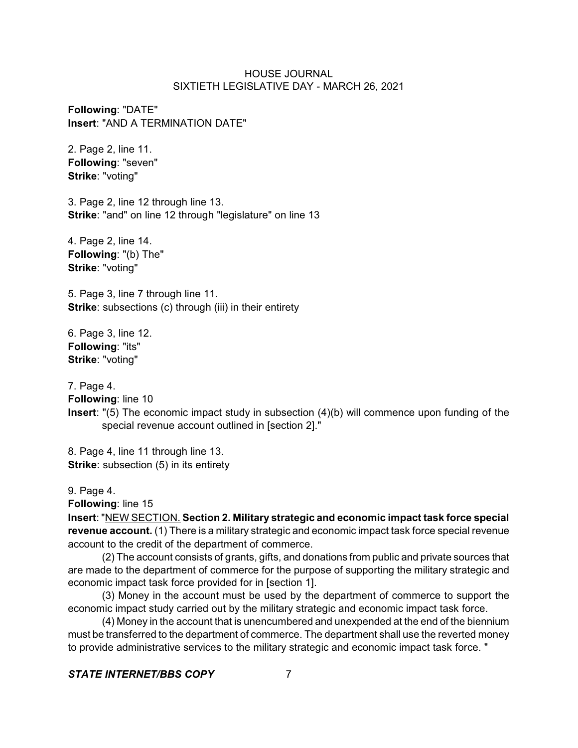**Following**: "DATE" **Insert**: "AND A TERMINATION DATE"

2. Page 2, line 11. **Following**: "seven" **Strike**: "voting"

3. Page 2, line 12 through line 13. **Strike**: "and" on line 12 through "legislature" on line 13

4. Page 2, line 14. **Following**: "(b) The" **Strike**: "voting"

5. Page 3, line 7 through line 11. **Strike:** subsections (c) through (iii) in their entirety

6. Page 3, line 12. **Following**: "its" **Strike**: "voting"

7. Page 4.

**Following**: line 10

**Insert**: "(5) The economic impact study in subsection (4)(b) will commence upon funding of the special revenue account outlined in [section 2]."

8. Page 4, line 11 through line 13. **Strike:** subsection (5) in its entirety

9. Page 4.

**Following**: line 15

**Insert**: "NEW SECTION. **Section 2. Military strategic and economic impact task force special revenue account.** (1) There is a military strategic and economic impact task force special revenue account to the credit of the department of commerce.

(2) The account consists of grants, gifts, and donations from public and private sources that are made to the department of commerce for the purpose of supporting the military strategic and economic impact task force provided for in [section 1].

(3) Money in the account must be used by the department of commerce to support the economic impact study carried out by the military strategic and economic impact task force.

(4) Money in the account that is unencumbered and unexpended at the end of the biennium must be transferred to the department of commerce. The department shall use the reverted money to provide administrative services to the military strategic and economic impact task force. "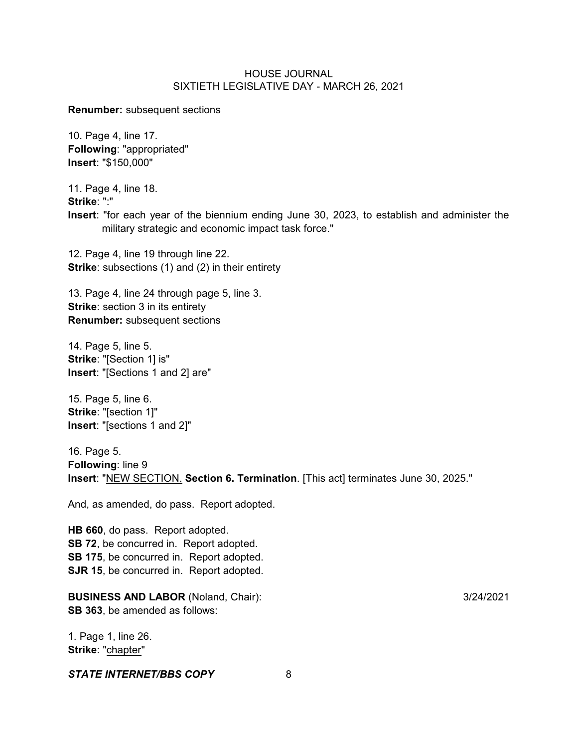**Renumber:** subsequent sections

10. Page 4, line 17. **Following**: "appropriated" **Insert**: "\$150,000"

11. Page 4, line 18.

**Strike**: ":"

**Insert**: "for each year of the biennium ending June 30, 2023, to establish and administer the military strategic and economic impact task force."

12. Page 4, line 19 through line 22. **Strike**: subsections (1) and (2) in their entirety

13. Page 4, line 24 through page 5, line 3. **Strike:** section 3 in its entirety **Renumber:** subsequent sections

14. Page 5, line 5. **Strike**: "[Section 1] is" **Insert**: "[Sections 1 and 2] are"

15. Page 5, line 6. **Strike**: "[section 1]" **Insert**: "[sections 1 and 2]"

16. Page 5. **Following**: line 9 **Insert**: "NEW SECTION. **Section 6. Termination**. [This act] terminates June 30, 2025."

And, as amended, do pass. Report adopted.

**HB 660**, do pass. Report adopted. **SB 72**, be concurred in. Report adopted. **SB 175**, be concurred in. Report adopted. **SJR 15**, be concurred in. Report adopted.

**BUSINESS AND LABOR** (Noland, Chair): 3/24/2021 **SB 363**, be amended as follows:

1. Page 1, line 26. **Strike**: "chapter"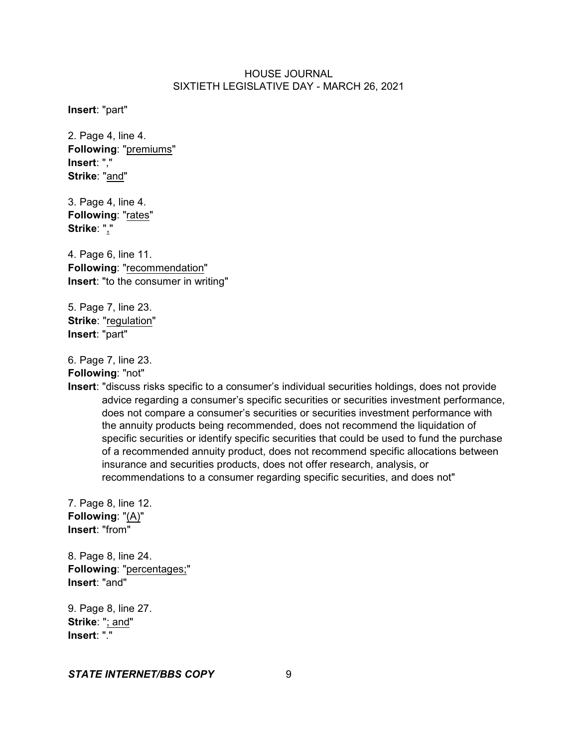**Insert**: "part"

2. Page 4, line 4. **Following**: "premiums" **Insert**: "," **Strike**: "and"

3. Page 4, line 4. **Following**: "rates" **Strike**: ","

4. Page 6, line 11. **Following**: "recommendation" **Insert**: "to the consumer in writing"

5. Page 7, line 23. **Strike**: "regulation" **Insert**: "part"

6. Page 7, line 23.

**Following**: "not"

**Insert**: "discuss risks specific to a consumer's individual securities holdings, does not provide advice regarding a consumer's specific securities or securities investment performance, does not compare a consumer's securities or securities investment performance with the annuity products being recommended, does not recommend the liquidation of specific securities or identify specific securities that could be used to fund the purchase of a recommended annuity product, does not recommend specific allocations between insurance and securities products, does not offer research, analysis, or recommendations to a consumer regarding specific securities, and does not"

7. Page 8, line 12. **Following**: "(A)" **Insert**: "from"

8. Page 8, line 24. **Following**: "percentages;" **Insert**: "and"

9. Page 8, line 27. **Strike**: "; and" **Insert**: "."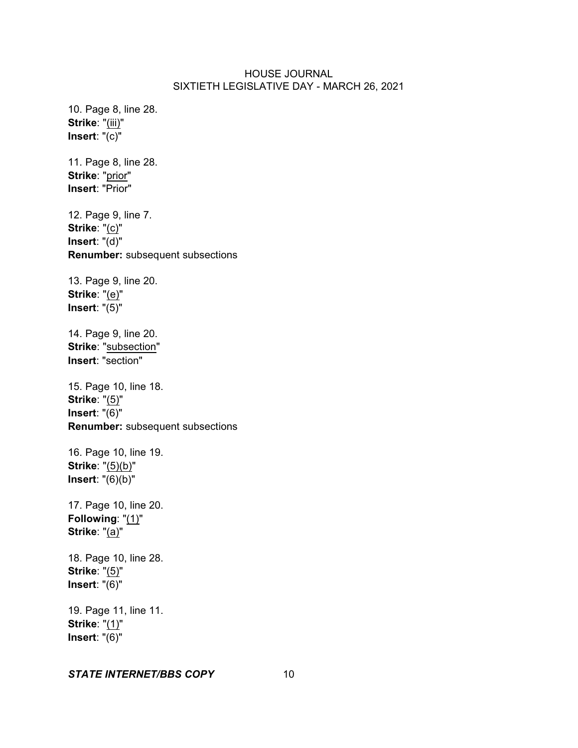10. Page 8, line 28. **Strike**: "(iii)" **Insert**: "(c)"

11. Page 8, line 28. **Strike**: "prior" **Insert**: "Prior"

12. Page 9, line 7. **Strike**: "(c)" **Insert**: "(d)" **Renumber:** subsequent subsections

13. Page 9, line 20. **Strike**: "(e)" **Insert**: "(5)"

14. Page 9, line 20. **Strike**: "subsection" **Insert**: "section"

15. Page 10, line 18. **Strike**: "(5)" **Insert**: "(6)" **Renumber:** subsequent subsections

16. Page 10, line 19. **Strike**: "(5)(b)" **Insert**: "(6)(b)"

17. Page 10, line 20. **Following**: "(1)" **Strike**: "(a)"

18. Page 10, line 28. **Strike**: "(5)" **Insert**: "(6)"

19. Page 11, line 11. **Strike**: "(1)" **Insert**: "(6)"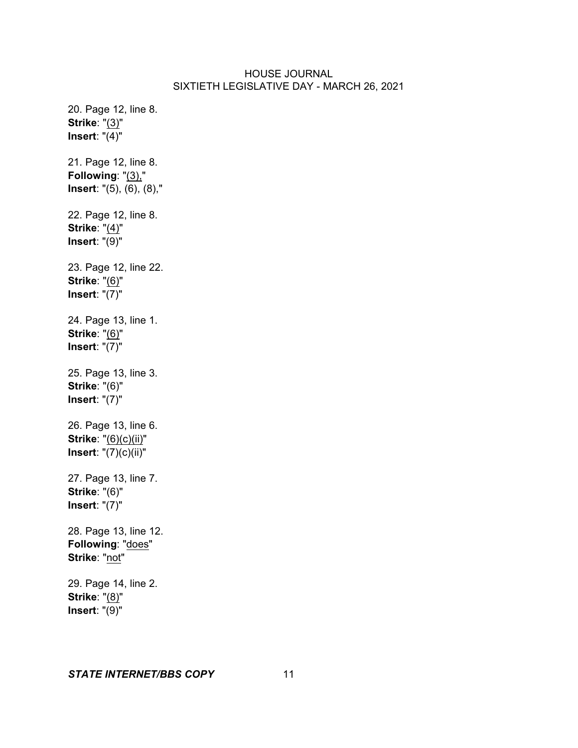20. Page 12, line 8. **Strike**: "(3)" **Insert**: "(4)" 21. Page 12, line 8. **Following**: "(3)," **Insert**: "(5), (6), (8)," 22. Page 12, line 8. **Strike**: "(4)" **Insert**: "(9)" 23. Page 12, line 22. **Strike**: "(6)" **Insert**: "(7)" 24. Page 13, line 1. **Strike**: "(6)" **Insert**: "(7)" 25. Page 13, line 3. **Strike**: "(6)" **Insert**: "(7)" 26. Page 13, line 6. **Strike**: "(6)(c)(ii)" **Insert**: "(7)(c)(ii)" 27. Page 13, line 7. **Strike**: "(6)" **Insert**: "(7)" 28. Page 13, line 12. **Following**: "does" **Strike**: "not" 29. Page 14, line 2. **Strike**: "(8)" **Insert**: "(9)"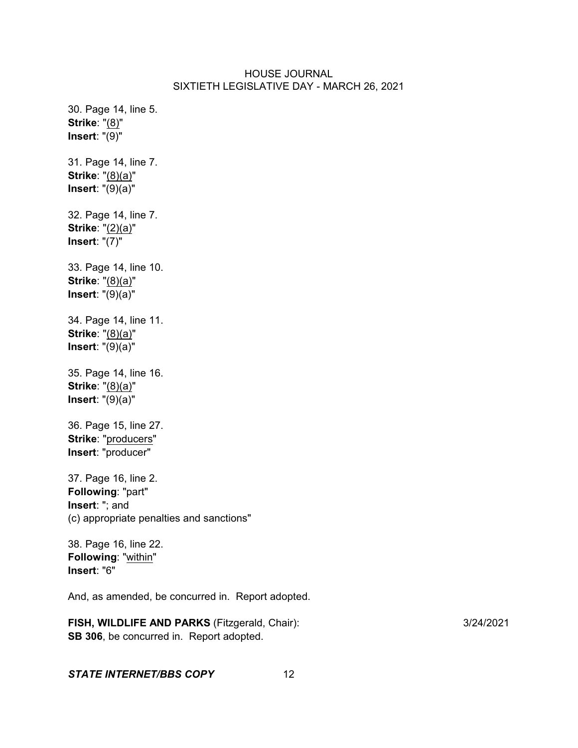30. Page 14, line 5. **Strike**: "(8)" **Insert**: "(9)" 31. Page 14, line 7. **Strike**: "(8)(a)" **Insert**: "(9)(a)" 32. Page 14, line 7. **Strike**: "(2)(a)" **Insert**: "(7)" 33. Page 14, line 10. **Strike**: "(8)(a)" **Insert**: "(9)(a)" 34. Page 14, line 11. **Strike**: "(8)(a)" **Insert**: "(9)(a)" 35. Page 14, line 16. **Strike**: "(8)(a)" **Insert**: "(9)(a)" 36. Page 15, line 27. **Strike**: "producers" **Insert**: "producer" 37. Page 16, line 2. **Following**: "part" **Insert**: "; and (c) appropriate penalties and sanctions" 38. Page 16, line 22. **Following**: "within" **Insert**: "6" And, as amended, be concurred in. Report adopted.

**FISH, WILDLIFE AND PARKS** (Fitzgerald, Chair): 3/24/2021 **SB 306**, be concurred in. Report adopted.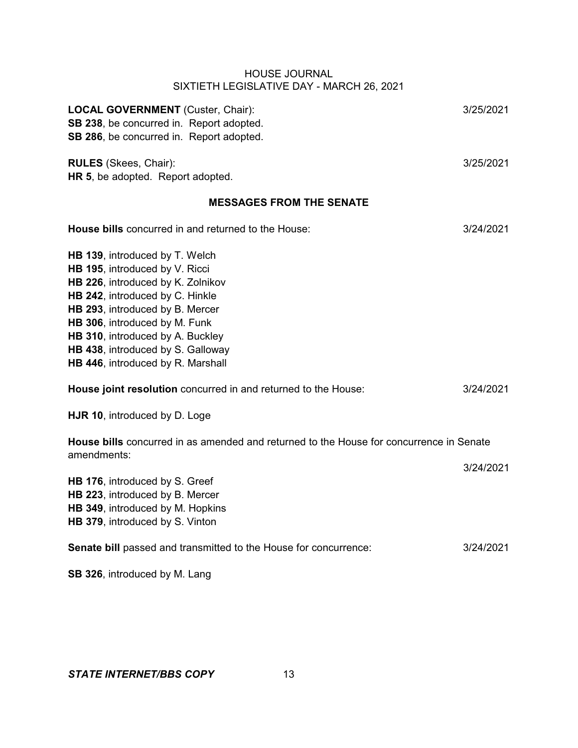| <b>LOCAL GOVERNMENT</b> (Custer, Chair):                                                               | 3/25/2021 |  |
|--------------------------------------------------------------------------------------------------------|-----------|--|
| SB 238, be concurred in. Report adopted.                                                               |           |  |
| SB 286, be concurred in. Report adopted.                                                               |           |  |
|                                                                                                        |           |  |
| <b>RULES</b> (Skees, Chair):                                                                           | 3/25/2021 |  |
| HR 5, be adopted. Report adopted.                                                                      |           |  |
| <b>MESSAGES FROM THE SENATE</b>                                                                        |           |  |
| House bills concurred in and returned to the House:                                                    | 3/24/2021 |  |
| HB 139, introduced by T. Welch                                                                         |           |  |
| HB 195, introduced by V. Ricci                                                                         |           |  |
| HB 226, introduced by K. Zolnikov                                                                      |           |  |
| HB 242, introduced by C. Hinkle                                                                        |           |  |
| HB 293, introduced by B. Mercer                                                                        |           |  |
| HB 306, introduced by M. Funk                                                                          |           |  |
| HB 310, introduced by A. Buckley                                                                       |           |  |
| HB 438, introduced by S. Galloway                                                                      |           |  |
| HB 446, introduced by R. Marshall                                                                      |           |  |
|                                                                                                        |           |  |
| House joint resolution concurred in and returned to the House:                                         | 3/24/2021 |  |
| HJR 10, introduced by D. Loge                                                                          |           |  |
| House bills concurred in as amended and returned to the House for concurrence in Senate<br>amendments: |           |  |
|                                                                                                        | 3/24/2021 |  |
| HB 176, introduced by S. Greef                                                                         |           |  |
| HB 223, introduced by B. Mercer                                                                        |           |  |
| HB 349, introduced by M. Hopkins                                                                       |           |  |
| HB 379, introduced by S. Vinton                                                                        |           |  |
| Senate bill passed and transmitted to the House for concurrence:                                       | 3/24/2021 |  |
| SB 326, introduced by M. Lang                                                                          |           |  |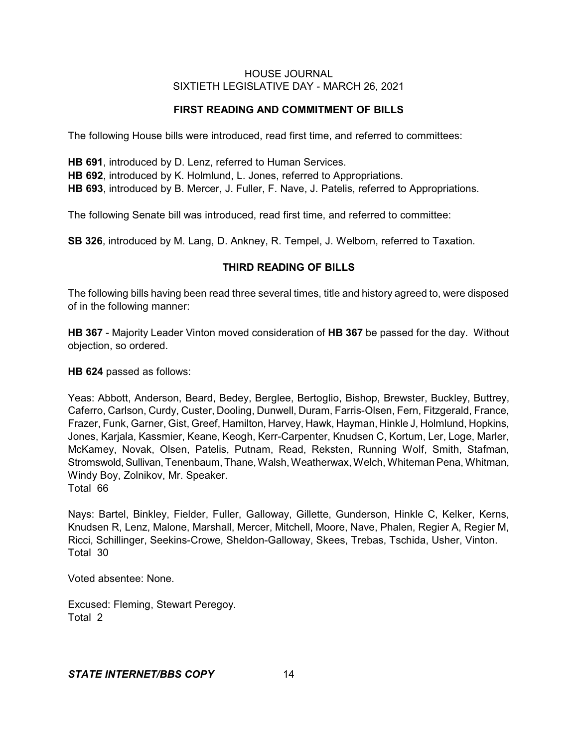# **FIRST READING AND COMMITMENT OF BILLS**

The following House bills were introduced, read first time, and referred to committees:

**HB 691**, introduced by D. Lenz, referred to Human Services. **HB 692**, introduced by K. Holmlund, L. Jones, referred to Appropriations. **HB 693**, introduced by B. Mercer, J. Fuller, F. Nave, J. Patelis, referred to Appropriations.

The following Senate bill was introduced, read first time, and referred to committee:

**SB 326**, introduced by M. Lang, D. Ankney, R. Tempel, J. Welborn, referred to Taxation.

# **THIRD READING OF BILLS**

The following bills having been read three several times, title and history agreed to, were disposed of in the following manner:

**HB 367** - Majority Leader Vinton moved consideration of **HB 367** be passed for the day. Without objection, so ordered.

**HB 624** passed as follows:

Yeas: Abbott, Anderson, Beard, Bedey, Berglee, Bertoglio, Bishop, Brewster, Buckley, Buttrey, Caferro, Carlson, Curdy, Custer, Dooling, Dunwell, Duram, Farris-Olsen, Fern, Fitzgerald, France, Frazer, Funk, Garner, Gist, Greef, Hamilton, Harvey, Hawk, Hayman, Hinkle J, Holmlund, Hopkins, Jones, Karjala, Kassmier, Keane, Keogh, Kerr-Carpenter, Knudsen C, Kortum, Ler, Loge, Marler, McKamey, Novak, Olsen, Patelis, Putnam, Read, Reksten, Running Wolf, Smith, Stafman, Stromswold, Sullivan, Tenenbaum, Thane, Walsh, Weatherwax, Welch, Whiteman Pena, Whitman, Windy Boy, Zolnikov, Mr. Speaker. Total 66

Nays: Bartel, Binkley, Fielder, Fuller, Galloway, Gillette, Gunderson, Hinkle C, Kelker, Kerns, Knudsen R, Lenz, Malone, Marshall, Mercer, Mitchell, Moore, Nave, Phalen, Regier A, Regier M, Ricci, Schillinger, Seekins-Crowe, Sheldon-Galloway, Skees, Trebas, Tschida, Usher, Vinton. Total 30

Voted absentee: None.

Excused: Fleming, Stewart Peregoy. Total 2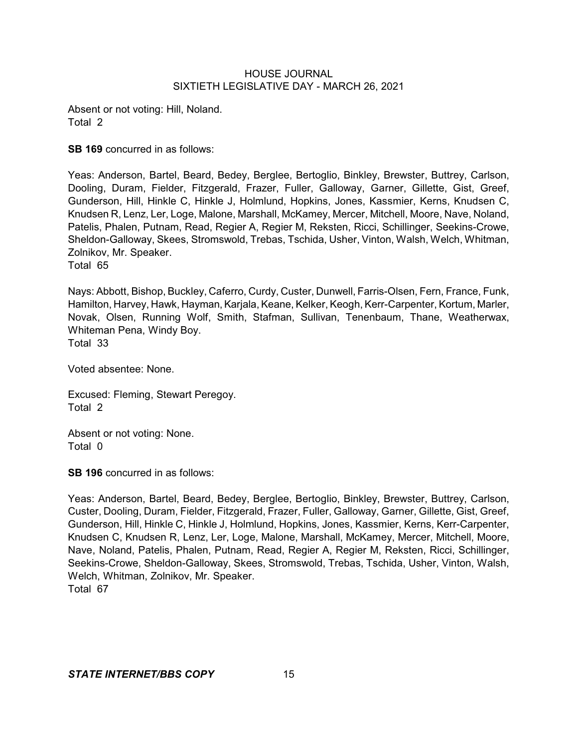Absent or not voting: Hill, Noland. Total 2

**SB 169** concurred in as follows:

Yeas: Anderson, Bartel, Beard, Bedey, Berglee, Bertoglio, Binkley, Brewster, Buttrey, Carlson, Dooling, Duram, Fielder, Fitzgerald, Frazer, Fuller, Galloway, Garner, Gillette, Gist, Greef, Gunderson, Hill, Hinkle C, Hinkle J, Holmlund, Hopkins, Jones, Kassmier, Kerns, Knudsen C, Knudsen R, Lenz, Ler, Loge, Malone, Marshall, McKamey, Mercer, Mitchell, Moore, Nave, Noland, Patelis, Phalen, Putnam, Read, Regier A, Regier M, Reksten, Ricci, Schillinger, Seekins-Crowe, Sheldon-Galloway, Skees, Stromswold, Trebas, Tschida, Usher, Vinton, Walsh, Welch, Whitman, Zolnikov, Mr. Speaker. Total 65

Nays: Abbott, Bishop, Buckley, Caferro, Curdy, Custer, Dunwell, Farris-Olsen, Fern, France, Funk, Hamilton, Harvey, Hawk, Hayman, Karjala, Keane, Kelker, Keogh, Kerr-Carpenter, Kortum, Marler, Novak, Olsen, Running Wolf, Smith, Stafman, Sullivan, Tenenbaum, Thane, Weatherwax, Whiteman Pena, Windy Boy. Total 33

Voted absentee: None.

Excused: Fleming, Stewart Peregoy. Total 2

Absent or not voting: None. Total 0

**SB 196** concurred in as follows:

Yeas: Anderson, Bartel, Beard, Bedey, Berglee, Bertoglio, Binkley, Brewster, Buttrey, Carlson, Custer, Dooling, Duram, Fielder, Fitzgerald, Frazer, Fuller, Galloway, Garner, Gillette, Gist, Greef, Gunderson, Hill, Hinkle C, Hinkle J, Holmlund, Hopkins, Jones, Kassmier, Kerns, Kerr-Carpenter, Knudsen C, Knudsen R, Lenz, Ler, Loge, Malone, Marshall, McKamey, Mercer, Mitchell, Moore, Nave, Noland, Patelis, Phalen, Putnam, Read, Regier A, Regier M, Reksten, Ricci, Schillinger, Seekins-Crowe, Sheldon-Galloway, Skees, Stromswold, Trebas, Tschida, Usher, Vinton, Walsh, Welch, Whitman, Zolnikov, Mr. Speaker. Total 67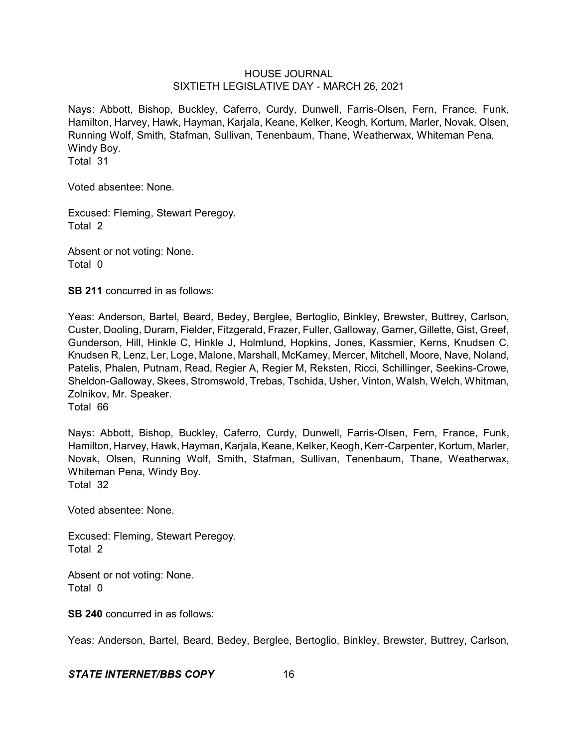Nays: Abbott, Bishop, Buckley, Caferro, Curdy, Dunwell, Farris-Olsen, Fern, France, Funk, Hamilton, Harvey, Hawk, Hayman, Karjala, Keane, Kelker, Keogh, Kortum, Marler, Novak, Olsen, Running Wolf, Smith, Stafman, Sullivan, Tenenbaum, Thane, Weatherwax, Whiteman Pena, Windy Boy.

Total 31

Voted absentee: None.

Excused: Fleming, Stewart Peregoy. Total 2

Absent or not voting: None. Total 0

**SB 211** concurred in as follows:

Yeas: Anderson, Bartel, Beard, Bedey, Berglee, Bertoglio, Binkley, Brewster, Buttrey, Carlson, Custer, Dooling, Duram, Fielder, Fitzgerald, Frazer, Fuller, Galloway, Garner, Gillette, Gist, Greef, Gunderson, Hill, Hinkle C, Hinkle J, Holmlund, Hopkins, Jones, Kassmier, Kerns, Knudsen C, Knudsen R, Lenz, Ler, Loge, Malone, Marshall, McKamey, Mercer, Mitchell, Moore, Nave, Noland, Patelis, Phalen, Putnam, Read, Regier A, Regier M, Reksten, Ricci, Schillinger, Seekins-Crowe, Sheldon-Galloway, Skees, Stromswold, Trebas, Tschida, Usher, Vinton, Walsh, Welch, Whitman, Zolnikov, Mr. Speaker. Total 66

Nays: Abbott, Bishop, Buckley, Caferro, Curdy, Dunwell, Farris-Olsen, Fern, France, Funk, Hamilton, Harvey, Hawk, Hayman, Karjala, Keane, Kelker, Keogh, Kerr-Carpenter, Kortum, Marler, Novak, Olsen, Running Wolf, Smith, Stafman, Sullivan, Tenenbaum, Thane, Weatherwax, Whiteman Pena, Windy Boy. Total 32

Voted absentee: None.

Excused: Fleming, Stewart Peregoy. Total 2

Absent or not voting: None. Total 0

**SB 240** concurred in as follows:

Yeas: Anderson, Bartel, Beard, Bedey, Berglee, Bertoglio, Binkley, Brewster, Buttrey, Carlson,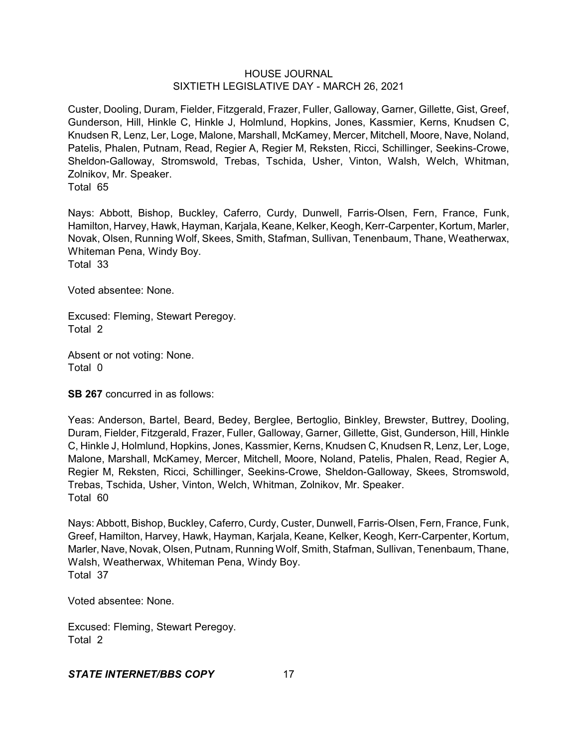Custer, Dooling, Duram, Fielder, Fitzgerald, Frazer, Fuller, Galloway, Garner, Gillette, Gist, Greef, Gunderson, Hill, Hinkle C, Hinkle J, Holmlund, Hopkins, Jones, Kassmier, Kerns, Knudsen C, Knudsen R, Lenz, Ler, Loge, Malone, Marshall, McKamey, Mercer, Mitchell, Moore, Nave, Noland, Patelis, Phalen, Putnam, Read, Regier A, Regier M, Reksten, Ricci, Schillinger, Seekins-Crowe, Sheldon-Galloway, Stromswold, Trebas, Tschida, Usher, Vinton, Walsh, Welch, Whitman, Zolnikov, Mr. Speaker.

Total 65

Nays: Abbott, Bishop, Buckley, Caferro, Curdy, Dunwell, Farris-Olsen, Fern, France, Funk, Hamilton, Harvey, Hawk, Hayman, Karjala, Keane, Kelker, Keogh, Kerr-Carpenter, Kortum, Marler, Novak, Olsen, Running Wolf, Skees, Smith, Stafman, Sullivan, Tenenbaum, Thane, Weatherwax, Whiteman Pena, Windy Boy.

Total 33

Voted absentee: None.

Excused: Fleming, Stewart Peregoy. Total 2

Absent or not voting: None. Total 0

**SB 267** concurred in as follows:

Yeas: Anderson, Bartel, Beard, Bedey, Berglee, Bertoglio, Binkley, Brewster, Buttrey, Dooling, Duram, Fielder, Fitzgerald, Frazer, Fuller, Galloway, Garner, Gillette, Gist, Gunderson, Hill, Hinkle C, Hinkle J, Holmlund, Hopkins, Jones, Kassmier, Kerns, Knudsen C, Knudsen R, Lenz, Ler, Loge, Malone, Marshall, McKamey, Mercer, Mitchell, Moore, Noland, Patelis, Phalen, Read, Regier A, Regier M, Reksten, Ricci, Schillinger, Seekins-Crowe, Sheldon-Galloway, Skees, Stromswold, Trebas, Tschida, Usher, Vinton, Welch, Whitman, Zolnikov, Mr. Speaker. Total 60

Nays: Abbott, Bishop, Buckley, Caferro, Curdy, Custer, Dunwell, Farris-Olsen, Fern, France, Funk, Greef, Hamilton, Harvey, Hawk, Hayman, Karjala, Keane, Kelker, Keogh, Kerr-Carpenter, Kortum, Marler, Nave, Novak, Olsen, Putnam, Running Wolf, Smith, Stafman, Sullivan, Tenenbaum, Thane, Walsh, Weatherwax, Whiteman Pena, Windy Boy. Total 37

Voted absentee: None.

Excused: Fleming, Stewart Peregoy. Total 2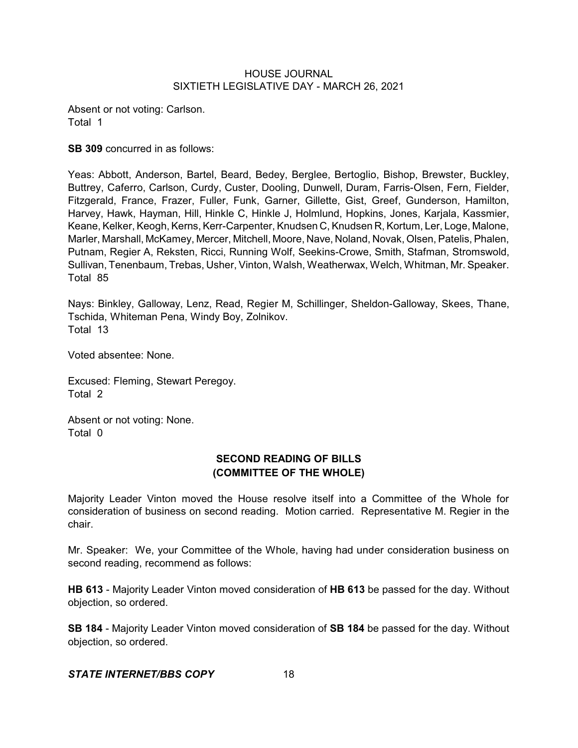Absent or not voting: Carlson. Total 1

**SB 309** concurred in as follows:

Yeas: Abbott, Anderson, Bartel, Beard, Bedey, Berglee, Bertoglio, Bishop, Brewster, Buckley, Buttrey, Caferro, Carlson, Curdy, Custer, Dooling, Dunwell, Duram, Farris-Olsen, Fern, Fielder, Fitzgerald, France, Frazer, Fuller, Funk, Garner, Gillette, Gist, Greef, Gunderson, Hamilton, Harvey, Hawk, Hayman, Hill, Hinkle C, Hinkle J, Holmlund, Hopkins, Jones, Karjala, Kassmier, Keane, Kelker, Keogh, Kerns, Kerr-Carpenter, Knudsen C, Knudsen R, Kortum, Ler, Loge, Malone, Marler, Marshall, McKamey, Mercer, Mitchell, Moore, Nave, Noland, Novak, Olsen, Patelis, Phalen, Putnam, Regier A, Reksten, Ricci, Running Wolf, Seekins-Crowe, Smith, Stafman, Stromswold, Sullivan, Tenenbaum, Trebas, Usher, Vinton, Walsh, Weatherwax, Welch, Whitman, Mr. Speaker. Total 85

Nays: Binkley, Galloway, Lenz, Read, Regier M, Schillinger, Sheldon-Galloway, Skees, Thane, Tschida, Whiteman Pena, Windy Boy, Zolnikov. Total 13

Voted absentee: None.

Excused: Fleming, Stewart Peregoy. Total 2

Absent or not voting: None. Total 0

# **SECOND READING OF BILLS (COMMITTEE OF THE WHOLE)**

Majority Leader Vinton moved the House resolve itself into a Committee of the Whole for consideration of business on second reading. Motion carried. Representative M. Regier in the chair.

Mr. Speaker: We, your Committee of the Whole, having had under consideration business on second reading, recommend as follows:

**HB 613** - Majority Leader Vinton moved consideration of **HB 613** be passed for the day. Without objection, so ordered.

**SB 184** - Majority Leader Vinton moved consideration of **SB 184** be passed for the day. Without objection, so ordered.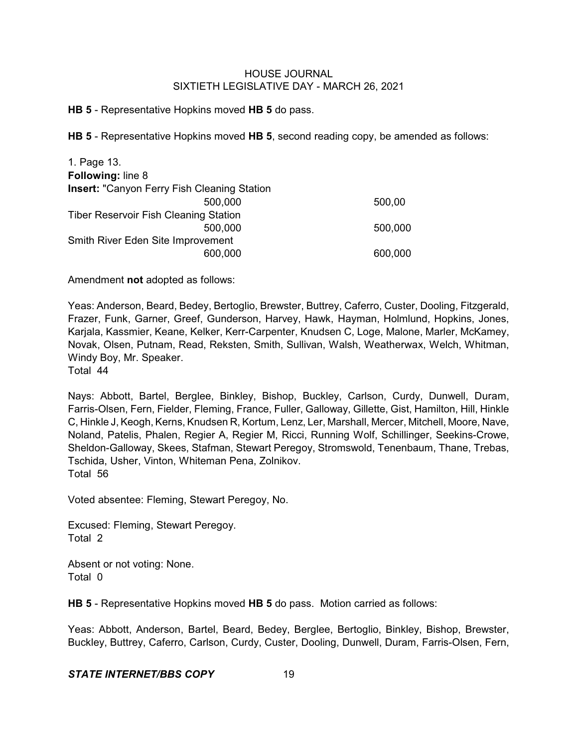**HB 5** - Representative Hopkins moved **HB 5** do pass.

**HB 5** - Representative Hopkins moved **HB 5**, second reading copy, be amended as follows:

| 1. Page 13.                                        |         |
|----------------------------------------------------|---------|
| <b>Following: line 8</b>                           |         |
| <b>Insert: "Canyon Ferry Fish Cleaning Station</b> |         |
| 500,000                                            | 500,00  |
| <b>Tiber Reservoir Fish Cleaning Station</b>       |         |
| 500,000                                            | 500,000 |
| Smith River Eden Site Improvement                  |         |
| 600,000                                            | 600,000 |

Amendment **not** adopted as follows:

Yeas: Anderson, Beard, Bedey, Bertoglio, Brewster, Buttrey, Caferro, Custer, Dooling, Fitzgerald, Frazer, Funk, Garner, Greef, Gunderson, Harvey, Hawk, Hayman, Holmlund, Hopkins, Jones, Karjala, Kassmier, Keane, Kelker, Kerr-Carpenter, Knudsen C, Loge, Malone, Marler, McKamey, Novak, Olsen, Putnam, Read, Reksten, Smith, Sullivan, Walsh, Weatherwax, Welch, Whitman, Windy Boy, Mr. Speaker. Total 44

Nays: Abbott, Bartel, Berglee, Binkley, Bishop, Buckley, Carlson, Curdy, Dunwell, Duram, Farris-Olsen, Fern, Fielder, Fleming, France, Fuller, Galloway, Gillette, Gist, Hamilton, Hill, Hinkle C, Hinkle J, Keogh, Kerns, Knudsen R, Kortum, Lenz, Ler, Marshall, Mercer, Mitchell, Moore, Nave, Noland, Patelis, Phalen, Regier A, Regier M, Ricci, Running Wolf, Schillinger, Seekins-Crowe, Sheldon-Galloway, Skees, Stafman, Stewart Peregoy, Stromswold, Tenenbaum, Thane, Trebas, Tschida, Usher, Vinton, Whiteman Pena, Zolnikov. Total 56

Voted absentee: Fleming, Stewart Peregoy, No.

Excused: Fleming, Stewart Peregoy. Total 2

Absent or not voting: None. Total 0

**HB 5** - Representative Hopkins moved **HB 5** do pass. Motion carried as follows:

Yeas: Abbott, Anderson, Bartel, Beard, Bedey, Berglee, Bertoglio, Binkley, Bishop, Brewster, Buckley, Buttrey, Caferro, Carlson, Curdy, Custer, Dooling, Dunwell, Duram, Farris-Olsen, Fern,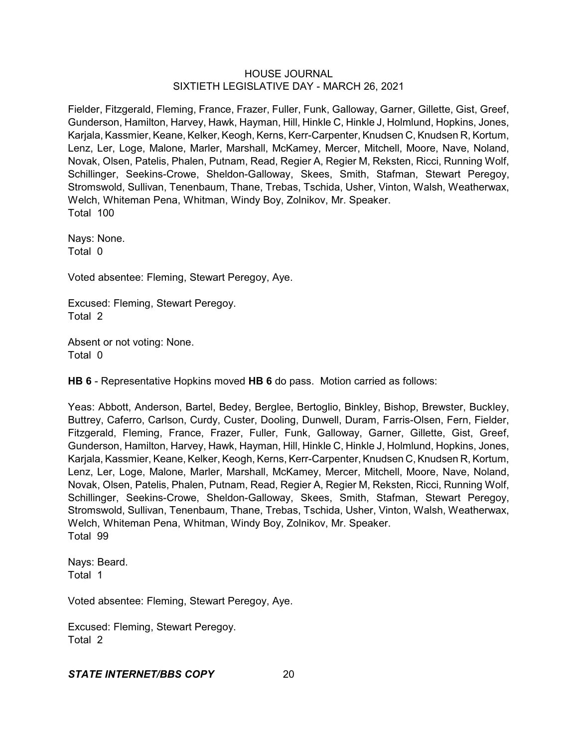Fielder, Fitzgerald, Fleming, France, Frazer, Fuller, Funk, Galloway, Garner, Gillette, Gist, Greef, Gunderson, Hamilton, Harvey, Hawk, Hayman, Hill, Hinkle C, Hinkle J, Holmlund, Hopkins, Jones, Karjala, Kassmier, Keane, Kelker, Keogh, Kerns, Kerr-Carpenter, Knudsen C, Knudsen R, Kortum, Lenz, Ler, Loge, Malone, Marler, Marshall, McKamey, Mercer, Mitchell, Moore, Nave, Noland, Novak, Olsen, Patelis, Phalen, Putnam, Read, Regier A, Regier M, Reksten, Ricci, Running Wolf, Schillinger, Seekins-Crowe, Sheldon-Galloway, Skees, Smith, Stafman, Stewart Peregoy, Stromswold, Sullivan, Tenenbaum, Thane, Trebas, Tschida, Usher, Vinton, Walsh, Weatherwax, Welch, Whiteman Pena, Whitman, Windy Boy, Zolnikov, Mr. Speaker. Total 100

Nays: None. Total 0

Voted absentee: Fleming, Stewart Peregoy, Aye.

Excused: Fleming, Stewart Peregoy. Total 2

Absent or not voting: None. Total 0

**HB 6** - Representative Hopkins moved **HB 6** do pass. Motion carried as follows:

Yeas: Abbott, Anderson, Bartel, Bedey, Berglee, Bertoglio, Binkley, Bishop, Brewster, Buckley, Buttrey, Caferro, Carlson, Curdy, Custer, Dooling, Dunwell, Duram, Farris-Olsen, Fern, Fielder, Fitzgerald, Fleming, France, Frazer, Fuller, Funk, Galloway, Garner, Gillette, Gist, Greef, Gunderson, Hamilton, Harvey, Hawk, Hayman, Hill, Hinkle C, Hinkle J, Holmlund, Hopkins, Jones, Karjala, Kassmier, Keane, Kelker, Keogh, Kerns, Kerr-Carpenter, Knudsen C, Knudsen R, Kortum, Lenz, Ler, Loge, Malone, Marler, Marshall, McKamey, Mercer, Mitchell, Moore, Nave, Noland, Novak, Olsen, Patelis, Phalen, Putnam, Read, Regier A, Regier M, Reksten, Ricci, Running Wolf, Schillinger, Seekins-Crowe, Sheldon-Galloway, Skees, Smith, Stafman, Stewart Peregoy, Stromswold, Sullivan, Tenenbaum, Thane, Trebas, Tschida, Usher, Vinton, Walsh, Weatherwax, Welch, Whiteman Pena, Whitman, Windy Boy, Zolnikov, Mr. Speaker. Total 99

Nays: Beard. Total 1

Voted absentee: Fleming, Stewart Peregoy, Aye.

Excused: Fleming, Stewart Peregoy. Total 2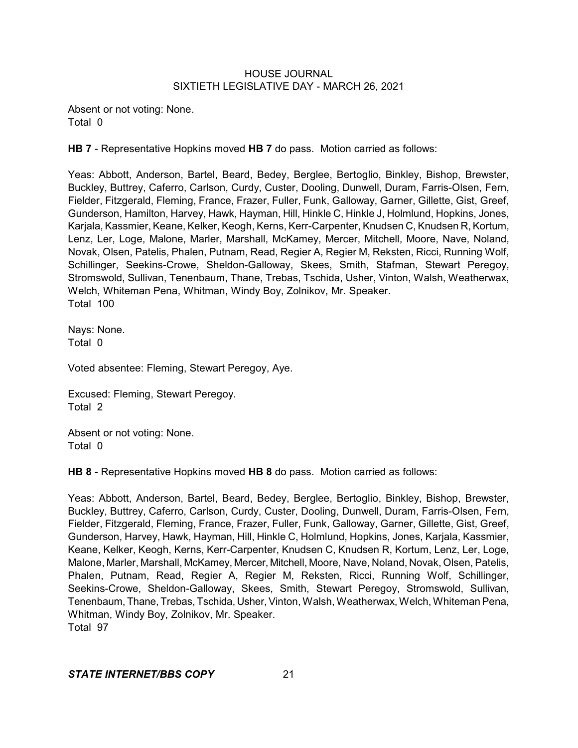Absent or not voting: None. Total 0

**HB 7** - Representative Hopkins moved **HB 7** do pass. Motion carried as follows:

Yeas: Abbott, Anderson, Bartel, Beard, Bedey, Berglee, Bertoglio, Binkley, Bishop, Brewster, Buckley, Buttrey, Caferro, Carlson, Curdy, Custer, Dooling, Dunwell, Duram, Farris-Olsen, Fern, Fielder, Fitzgerald, Fleming, France, Frazer, Fuller, Funk, Galloway, Garner, Gillette, Gist, Greef, Gunderson, Hamilton, Harvey, Hawk, Hayman, Hill, Hinkle C, Hinkle J, Holmlund, Hopkins, Jones, Karjala, Kassmier, Keane, Kelker, Keogh, Kerns, Kerr-Carpenter, Knudsen C, Knudsen R, Kortum, Lenz, Ler, Loge, Malone, Marler, Marshall, McKamey, Mercer, Mitchell, Moore, Nave, Noland, Novak, Olsen, Patelis, Phalen, Putnam, Read, Regier A, Regier M, Reksten, Ricci, Running Wolf, Schillinger, Seekins-Crowe, Sheldon-Galloway, Skees, Smith, Stafman, Stewart Peregoy, Stromswold, Sullivan, Tenenbaum, Thane, Trebas, Tschida, Usher, Vinton, Walsh, Weatherwax, Welch, Whiteman Pena, Whitman, Windy Boy, Zolnikov, Mr. Speaker. Total 100

Nays: None. Total 0

Voted absentee: Fleming, Stewart Peregoy, Aye.

Excused: Fleming, Stewart Peregoy. Total 2

Absent or not voting: None. Total 0

**HB 8** - Representative Hopkins moved **HB 8** do pass. Motion carried as follows:

Yeas: Abbott, Anderson, Bartel, Beard, Bedey, Berglee, Bertoglio, Binkley, Bishop, Brewster, Buckley, Buttrey, Caferro, Carlson, Curdy, Custer, Dooling, Dunwell, Duram, Farris-Olsen, Fern, Fielder, Fitzgerald, Fleming, France, Frazer, Fuller, Funk, Galloway, Garner, Gillette, Gist, Greef, Gunderson, Harvey, Hawk, Hayman, Hill, Hinkle C, Holmlund, Hopkins, Jones, Karjala, Kassmier, Keane, Kelker, Keogh, Kerns, Kerr-Carpenter, Knudsen C, Knudsen R, Kortum, Lenz, Ler, Loge, Malone, Marler, Marshall, McKamey, Mercer, Mitchell, Moore, Nave, Noland, Novak, Olsen, Patelis, Phalen, Putnam, Read, Regier A, Regier M, Reksten, Ricci, Running Wolf, Schillinger, Seekins-Crowe, Sheldon-Galloway, Skees, Smith, Stewart Peregoy, Stromswold, Sullivan, Tenenbaum, Thane, Trebas, Tschida, Usher,Vinton, Walsh, Weatherwax, Welch, Whiteman Pena, Whitman, Windy Boy, Zolnikov, Mr. Speaker. Total 97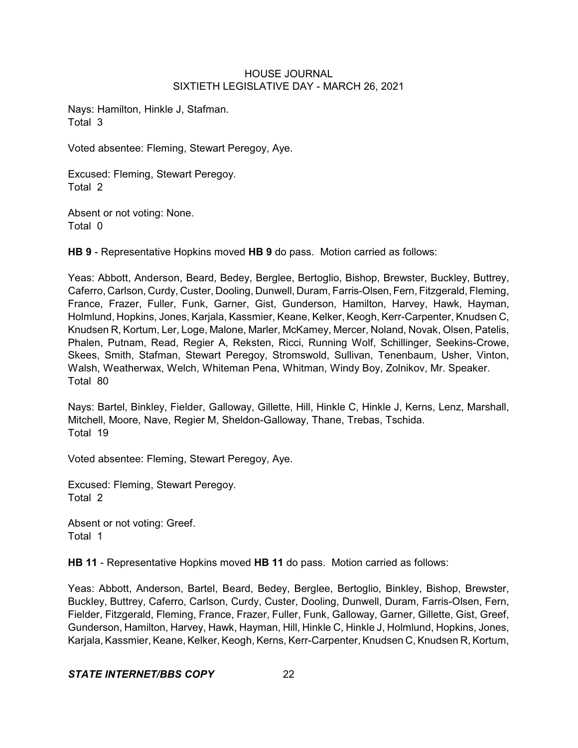Nays: Hamilton, Hinkle J, Stafman. Total 3

Voted absentee: Fleming, Stewart Peregoy, Aye.

Excused: Fleming, Stewart Peregoy. Total 2

Absent or not voting: None. Total 0

**HB 9** - Representative Hopkins moved **HB 9** do pass. Motion carried as follows:

Yeas: Abbott, Anderson, Beard, Bedey, Berglee, Bertoglio, Bishop, Brewster, Buckley, Buttrey, Caferro, Carlson, Curdy, Custer, Dooling, Dunwell, Duram, Farris-Olsen, Fern, Fitzgerald, Fleming, France, Frazer, Fuller, Funk, Garner, Gist, Gunderson, Hamilton, Harvey, Hawk, Hayman, Holmlund, Hopkins, Jones, Karjala, Kassmier, Keane, Kelker, Keogh, Kerr-Carpenter, Knudsen C, Knudsen R, Kortum, Ler, Loge, Malone, Marler, McKamey, Mercer, Noland, Novak, Olsen, Patelis, Phalen, Putnam, Read, Regier A, Reksten, Ricci, Running Wolf, Schillinger, Seekins-Crowe, Skees, Smith, Stafman, Stewart Peregoy, Stromswold, Sullivan, Tenenbaum, Usher, Vinton, Walsh, Weatherwax, Welch, Whiteman Pena, Whitman, Windy Boy, Zolnikov, Mr. Speaker. Total 80

Nays: Bartel, Binkley, Fielder, Galloway, Gillette, Hill, Hinkle C, Hinkle J, Kerns, Lenz, Marshall, Mitchell, Moore, Nave, Regier M, Sheldon-Galloway, Thane, Trebas, Tschida. Total 19

Voted absentee: Fleming, Stewart Peregoy, Aye.

Excused: Fleming, Stewart Peregoy. Total 2

Absent or not voting: Greef. Total 1

**HB 11** - Representative Hopkins moved **HB 11** do pass. Motion carried as follows:

Yeas: Abbott, Anderson, Bartel, Beard, Bedey, Berglee, Bertoglio, Binkley, Bishop, Brewster, Buckley, Buttrey, Caferro, Carlson, Curdy, Custer, Dooling, Dunwell, Duram, Farris-Olsen, Fern, Fielder, Fitzgerald, Fleming, France, Frazer, Fuller, Funk, Galloway, Garner, Gillette, Gist, Greef, Gunderson, Hamilton, Harvey, Hawk, Hayman, Hill, Hinkle C, Hinkle J, Holmlund, Hopkins, Jones, Karjala, Kassmier, Keane, Kelker, Keogh, Kerns, Kerr-Carpenter, Knudsen C, Knudsen R, Kortum,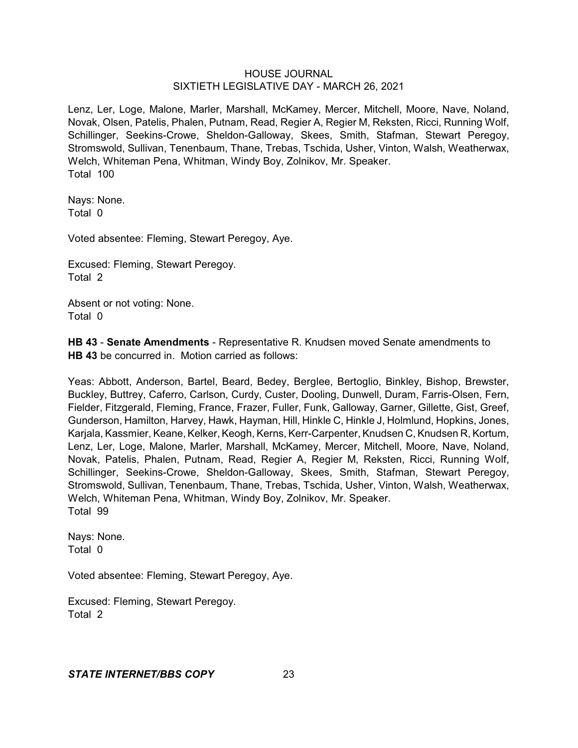Lenz, Ler, Loge, Malone, Marler, Marshall, McKamey, Mercer, Mitchell, Moore, Nave, Noland, Novak, Olsen, Patelis, Phalen, Putnam, Read, Regier A, Regier M, Reksten, Ricci, Running Wolf, Schillinger, Seekins-Crowe, Sheldon-Galloway, Skees, Smith, Stafman, Stewart Peregoy, Stromswold, Sullivan, Tenenbaum, Thane, Trebas, Tschida, Usher, Vinton, Walsh, Weatherwax, Welch, Whiteman Pena, Whitman, Windy Boy, Zolnikov, Mr. Speaker. Total 100

Nays: None. Total 0

Voted absentee: Fleming, Stewart Peregoy, Aye.

Excused: Fleming, Stewart Peregoy. Total 2

Absent or not voting: None. Total 0

**HB 43** - **Senate Amendments** - Representative R. Knudsen moved Senate amendments to **HB 43** be concurred in. Motion carried as follows:

Yeas: Abbott, Anderson, Bartel, Beard, Bedey, Berglee, Bertoglio, Binkley, Bishop, Brewster, Buckley, Buttrey, Caferro, Carlson, Curdy, Custer, Dooling, Dunwell, Duram, Farris-Olsen, Fern, Fielder, Fitzgerald, Fleming, France, Frazer, Fuller, Funk, Galloway, Garner, Gillette, Gist, Greef, Gunderson, Hamilton, Harvey, Hawk, Hayman, Hill, Hinkle C, Hinkle J, Holmlund, Hopkins, Jones, Karjala, Kassmier, Keane, Kelker, Keogh, Kerns, Kerr-Carpenter, Knudsen C, Knudsen R, Kortum, Lenz, Ler, Loge, Malone, Marler, Marshall, McKamey, Mercer, Mitchell, Moore, Nave, Noland, Novak, Patelis, Phalen, Putnam, Read, Regier A, Regier M, Reksten, Ricci, Running Wolf, Schillinger, Seekins-Crowe, Sheldon-Galloway, Skees, Smith, Stafman, Stewart Peregoy, Stromswold, Sullivan, Tenenbaum, Thane, Trebas, Tschida, Usher, Vinton, Walsh, Weatherwax, Welch, Whiteman Pena, Whitman, Windy Boy, Zolnikov, Mr. Speaker. Total 99

Nays: None. Total 0

Voted absentee: Fleming, Stewart Peregoy, Aye.

Excused: Fleming, Stewart Peregoy. Total 2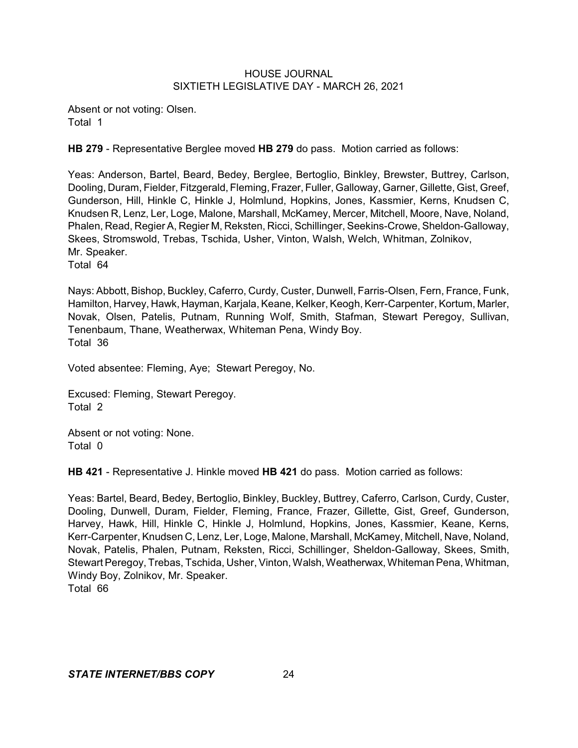Absent or not voting: Olsen. Total 1

**HB 279** - Representative Berglee moved **HB 279** do pass. Motion carried as follows:

Yeas: Anderson, Bartel, Beard, Bedey, Berglee, Bertoglio, Binkley, Brewster, Buttrey, Carlson, Dooling, Duram, Fielder, Fitzgerald, Fleming, Frazer, Fuller, Galloway, Garner, Gillette, Gist, Greef, Gunderson, Hill, Hinkle C, Hinkle J, Holmlund, Hopkins, Jones, Kassmier, Kerns, Knudsen C, Knudsen R, Lenz, Ler, Loge, Malone, Marshall, McKamey, Mercer, Mitchell, Moore, Nave, Noland, Phalen, Read, Regier A, Regier M, Reksten, Ricci, Schillinger, Seekins-Crowe, Sheldon-Galloway, Skees, Stromswold, Trebas, Tschida, Usher, Vinton, Walsh, Welch, Whitman, Zolnikov, Mr. Speaker.

Total 64

Nays: Abbott, Bishop, Buckley, Caferro, Curdy, Custer, Dunwell, Farris-Olsen, Fern, France, Funk, Hamilton, Harvey, Hawk, Hayman, Karjala, Keane, Kelker, Keogh, Kerr-Carpenter, Kortum, Marler, Novak, Olsen, Patelis, Putnam, Running Wolf, Smith, Stafman, Stewart Peregoy, Sullivan, Tenenbaum, Thane, Weatherwax, Whiteman Pena, Windy Boy. Total 36

Voted absentee: Fleming, Aye; Stewart Peregoy, No.

Excused: Fleming, Stewart Peregoy. Total 2

Absent or not voting: None. Total 0

**HB 421** - Representative J. Hinkle moved **HB 421** do pass. Motion carried as follows:

Yeas: Bartel, Beard, Bedey, Bertoglio, Binkley, Buckley, Buttrey, Caferro, Carlson, Curdy, Custer, Dooling, Dunwell, Duram, Fielder, Fleming, France, Frazer, Gillette, Gist, Greef, Gunderson, Harvey, Hawk, Hill, Hinkle C, Hinkle J, Holmlund, Hopkins, Jones, Kassmier, Keane, Kerns, Kerr-Carpenter, Knudsen C, Lenz, Ler, Loge, Malone, Marshall, McKamey, Mitchell, Nave, Noland, Novak, Patelis, Phalen, Putnam, Reksten, Ricci, Schillinger, Sheldon-Galloway, Skees, Smith, Stewart Peregoy, Trebas, Tschida, Usher, Vinton, Walsh, Weatherwax, Whiteman Pena, Whitman, Windy Boy, Zolnikov, Mr. Speaker. Total 66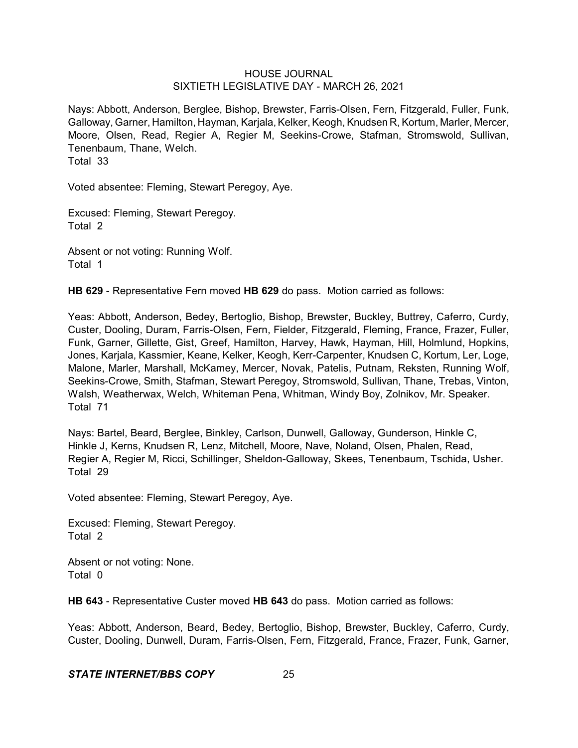Nays: Abbott, Anderson, Berglee, Bishop, Brewster, Farris-Olsen, Fern, Fitzgerald, Fuller, Funk, Galloway, Garner, Hamilton, Hayman, Karjala, Kelker, Keogh, Knudsen R, Kortum, Marler, Mercer, Moore, Olsen, Read, Regier A, Regier M, Seekins-Crowe, Stafman, Stromswold, Sullivan, Tenenbaum, Thane, Welch.

Total 33

Voted absentee: Fleming, Stewart Peregoy, Aye.

Excused: Fleming, Stewart Peregoy. Total 2

Absent or not voting: Running Wolf. Total 1

**HB 629** - Representative Fern moved **HB 629** do pass. Motion carried as follows:

Yeas: Abbott, Anderson, Bedey, Bertoglio, Bishop, Brewster, Buckley, Buttrey, Caferro, Curdy, Custer, Dooling, Duram, Farris-Olsen, Fern, Fielder, Fitzgerald, Fleming, France, Frazer, Fuller, Funk, Garner, Gillette, Gist, Greef, Hamilton, Harvey, Hawk, Hayman, Hill, Holmlund, Hopkins, Jones, Karjala, Kassmier, Keane, Kelker, Keogh, Kerr-Carpenter, Knudsen C, Kortum, Ler, Loge, Malone, Marler, Marshall, McKamey, Mercer, Novak, Patelis, Putnam, Reksten, Running Wolf, Seekins-Crowe, Smith, Stafman, Stewart Peregoy, Stromswold, Sullivan, Thane, Trebas, Vinton, Walsh, Weatherwax, Welch, Whiteman Pena, Whitman, Windy Boy, Zolnikov, Mr. Speaker. Total 71

Nays: Bartel, Beard, Berglee, Binkley, Carlson, Dunwell, Galloway, Gunderson, Hinkle C, Hinkle J, Kerns, Knudsen R, Lenz, Mitchell, Moore, Nave, Noland, Olsen, Phalen, Read, Regier A, Regier M, Ricci, Schillinger, Sheldon-Galloway, Skees, Tenenbaum, Tschida, Usher. Total 29

Voted absentee: Fleming, Stewart Peregoy, Aye.

Excused: Fleming, Stewart Peregoy. Total 2

Absent or not voting: None. Total 0

**HB 643** - Representative Custer moved **HB 643** do pass. Motion carried as follows:

Yeas: Abbott, Anderson, Beard, Bedey, Bertoglio, Bishop, Brewster, Buckley, Caferro, Curdy, Custer, Dooling, Dunwell, Duram, Farris-Olsen, Fern, Fitzgerald, France, Frazer, Funk, Garner,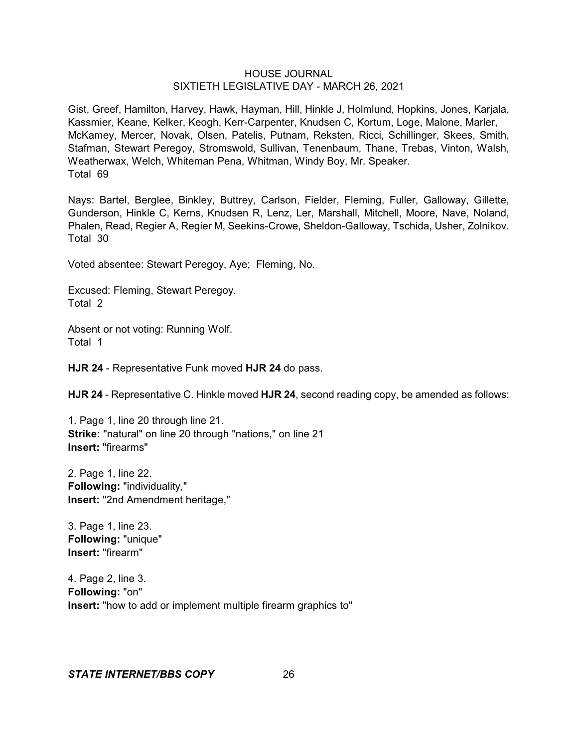Gist, Greef, Hamilton, Harvey, Hawk, Hayman, Hill, Hinkle J, Holmlund, Hopkins, Jones, Karjala, Kassmier, Keane, Kelker, Keogh, Kerr-Carpenter, Knudsen C, Kortum, Loge, Malone, Marler, McKamey, Mercer, Novak, Olsen, Patelis, Putnam, Reksten, Ricci, Schillinger, Skees, Smith, Stafman, Stewart Peregoy, Stromswold, Sullivan, Tenenbaum, Thane, Trebas, Vinton, Walsh, Weatherwax, Welch, Whiteman Pena, Whitman, Windy Boy, Mr. Speaker. Total 69

Nays: Bartel, Berglee, Binkley, Buttrey, Carlson, Fielder, Fleming, Fuller, Galloway, Gillette, Gunderson, Hinkle C, Kerns, Knudsen R, Lenz, Ler, Marshall, Mitchell, Moore, Nave, Noland, Phalen, Read, Regier A, Regier M, Seekins-Crowe, Sheldon-Galloway, Tschida, Usher, Zolnikov. Total 30

Voted absentee: Stewart Peregoy, Aye; Fleming, No.

Excused: Fleming, Stewart Peregoy. Total 2

Absent or not voting: Running Wolf. Total 1

**HJR 24** - Representative Funk moved **HJR 24** do pass.

**HJR 24** - Representative C. Hinkle moved **HJR 24**, second reading copy, be amended as follows:

1. Page 1, line 20 through line 21. **Strike:** "natural" on line 20 through "nations," on line 21 **Insert:** "firearms"

2. Page 1, line 22. **Following:** "individuality," **Insert:** "2nd Amendment heritage,"

3. Page 1, line 23. **Following:** "unique" **Insert:** "firearm"

4. Page 2, line 3. **Following:** "on" **Insert:** "how to add or implement multiple firearm graphics to"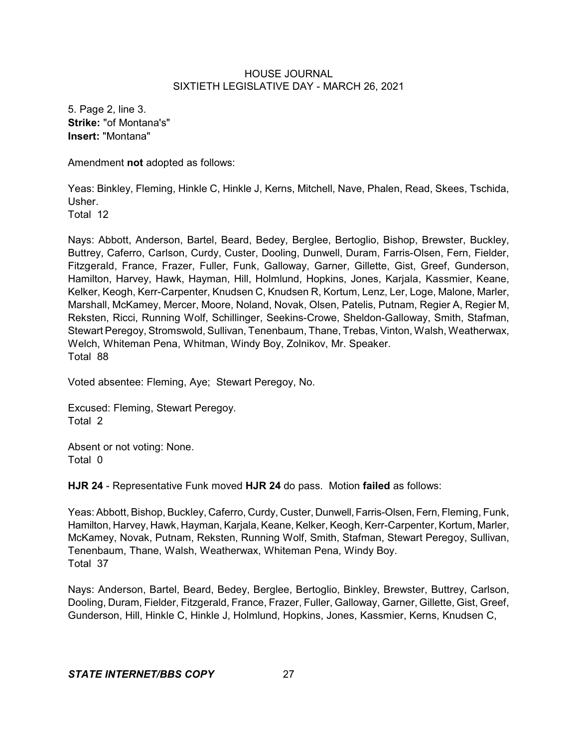5. Page 2, line 3. **Strike:** "of Montana's" **Insert:** "Montana"

Amendment **not** adopted as follows:

Yeas: Binkley, Fleming, Hinkle C, Hinkle J, Kerns, Mitchell, Nave, Phalen, Read, Skees, Tschida, Usher. Total 12

Nays: Abbott, Anderson, Bartel, Beard, Bedey, Berglee, Bertoglio, Bishop, Brewster, Buckley, Buttrey, Caferro, Carlson, Curdy, Custer, Dooling, Dunwell, Duram, Farris-Olsen, Fern, Fielder, Fitzgerald, France, Frazer, Fuller, Funk, Galloway, Garner, Gillette, Gist, Greef, Gunderson, Hamilton, Harvey, Hawk, Hayman, Hill, Holmlund, Hopkins, Jones, Karjala, Kassmier, Keane, Kelker, Keogh, Kerr-Carpenter, Knudsen C, Knudsen R, Kortum, Lenz, Ler, Loge, Malone, Marler, Marshall, McKamey, Mercer, Moore, Noland, Novak, Olsen, Patelis, Putnam, Regier A, Regier M, Reksten, Ricci, Running Wolf, Schillinger, Seekins-Crowe, Sheldon-Galloway, Smith, Stafman, Stewart Peregoy, Stromswold, Sullivan, Tenenbaum, Thane, Trebas, Vinton, Walsh, Weatherwax, Welch, Whiteman Pena, Whitman, Windy Boy, Zolnikov, Mr. Speaker. Total 88

Voted absentee: Fleming, Aye; Stewart Peregoy, No.

Excused: Fleming, Stewart Peregoy. Total 2

Absent or not voting: None. Total 0

**HJR 24** - Representative Funk moved **HJR 24** do pass. Motion **failed** as follows:

Yeas: Abbott, Bishop, Buckley, Caferro, Curdy, Custer, Dunwell, Farris-Olsen, Fern, Fleming, Funk, Hamilton, Harvey, Hawk, Hayman, Karjala, Keane, Kelker, Keogh, Kerr-Carpenter, Kortum, Marler, McKamey, Novak, Putnam, Reksten, Running Wolf, Smith, Stafman, Stewart Peregoy, Sullivan, Tenenbaum, Thane, Walsh, Weatherwax, Whiteman Pena, Windy Boy. Total 37

Nays: Anderson, Bartel, Beard, Bedey, Berglee, Bertoglio, Binkley, Brewster, Buttrey, Carlson, Dooling, Duram, Fielder, Fitzgerald, France, Frazer, Fuller, Galloway, Garner, Gillette, Gist, Greef, Gunderson, Hill, Hinkle C, Hinkle J, Holmlund, Hopkins, Jones, Kassmier, Kerns, Knudsen C,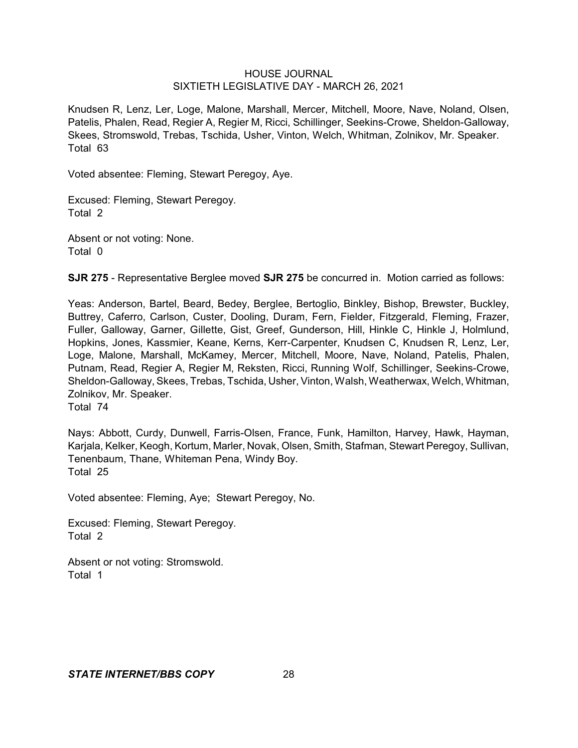Knudsen R, Lenz, Ler, Loge, Malone, Marshall, Mercer, Mitchell, Moore, Nave, Noland, Olsen, Patelis, Phalen, Read, Regier A, Regier M, Ricci, Schillinger, Seekins-Crowe, Sheldon-Galloway, Skees, Stromswold, Trebas, Tschida, Usher, Vinton, Welch, Whitman, Zolnikov, Mr. Speaker. Total 63

Voted absentee: Fleming, Stewart Peregoy, Aye.

Excused: Fleming, Stewart Peregoy. Total 2

Absent or not voting: None. Total 0

**SJR 275** - Representative Berglee moved **SJR 275** be concurred in. Motion carried as follows:

Yeas: Anderson, Bartel, Beard, Bedey, Berglee, Bertoglio, Binkley, Bishop, Brewster, Buckley, Buttrey, Caferro, Carlson, Custer, Dooling, Duram, Fern, Fielder, Fitzgerald, Fleming, Frazer, Fuller, Galloway, Garner, Gillette, Gist, Greef, Gunderson, Hill, Hinkle C, Hinkle J, Holmlund, Hopkins, Jones, Kassmier, Keane, Kerns, Kerr-Carpenter, Knudsen C, Knudsen R, Lenz, Ler, Loge, Malone, Marshall, McKamey, Mercer, Mitchell, Moore, Nave, Noland, Patelis, Phalen, Putnam, Read, Regier A, Regier M, Reksten, Ricci, Running Wolf, Schillinger, Seekins-Crowe, Sheldon-Galloway, Skees, Trebas, Tschida, Usher, Vinton, Walsh, Weatherwax, Welch, Whitman, Zolnikov, Mr. Speaker. Total 74

Nays: Abbott, Curdy, Dunwell, Farris-Olsen, France, Funk, Hamilton, Harvey, Hawk, Hayman, Karjala, Kelker, Keogh, Kortum, Marler, Novak, Olsen, Smith, Stafman, Stewart Peregoy, Sullivan, Tenenbaum, Thane, Whiteman Pena, Windy Boy. Total 25

Voted absentee: Fleming, Aye; Stewart Peregoy, No.

Excused: Fleming, Stewart Peregoy. Total 2

Absent or not voting: Stromswold. Total 1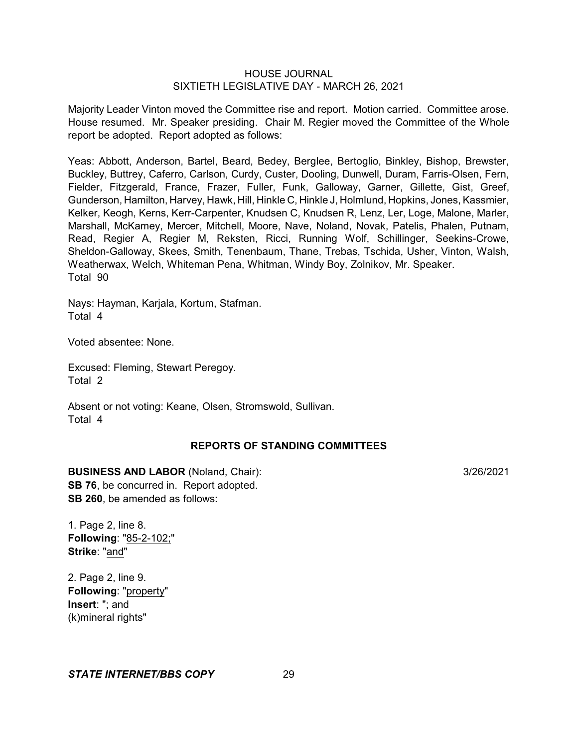Majority Leader Vinton moved the Committee rise and report. Motion carried. Committee arose. House resumed. Mr. Speaker presiding. Chair M. Regier moved the Committee of the Whole report be adopted. Report adopted as follows:

Yeas: Abbott, Anderson, Bartel, Beard, Bedey, Berglee, Bertoglio, Binkley, Bishop, Brewster, Buckley, Buttrey, Caferro, Carlson, Curdy, Custer, Dooling, Dunwell, Duram, Farris-Olsen, Fern, Fielder, Fitzgerald, France, Frazer, Fuller, Funk, Galloway, Garner, Gillette, Gist, Greef, Gunderson, Hamilton, Harvey, Hawk, Hill, Hinkle C, Hinkle J, Holmlund, Hopkins, Jones, Kassmier, Kelker, Keogh, Kerns, Kerr-Carpenter, Knudsen C, Knudsen R, Lenz, Ler, Loge, Malone, Marler, Marshall, McKamey, Mercer, Mitchell, Moore, Nave, Noland, Novak, Patelis, Phalen, Putnam, Read, Regier A, Regier M, Reksten, Ricci, Running Wolf, Schillinger, Seekins-Crowe, Sheldon-Galloway, Skees, Smith, Tenenbaum, Thane, Trebas, Tschida, Usher, Vinton, Walsh, Weatherwax, Welch, Whiteman Pena, Whitman, Windy Boy, Zolnikov, Mr. Speaker. Total 90

Nays: Hayman, Karjala, Kortum, Stafman. Total 4

Voted absentee: None.

Excused: Fleming, Stewart Peregoy. Total 2

Absent or not voting: Keane, Olsen, Stromswold, Sullivan. Total 4

## **REPORTS OF STANDING COMMITTEES**

#### **BUSINESS AND LABOR** (Noland, Chair): 3/26/2021

**SB 76**, be concurred in. Report adopted. **SB 260**, be amended as follows:

1. Page 2, line 8. **Following**: "85-2-102;" **Strike**: "and"

2. Page 2, line 9. **Following**: "property" **Insert**: "; and (k)mineral rights"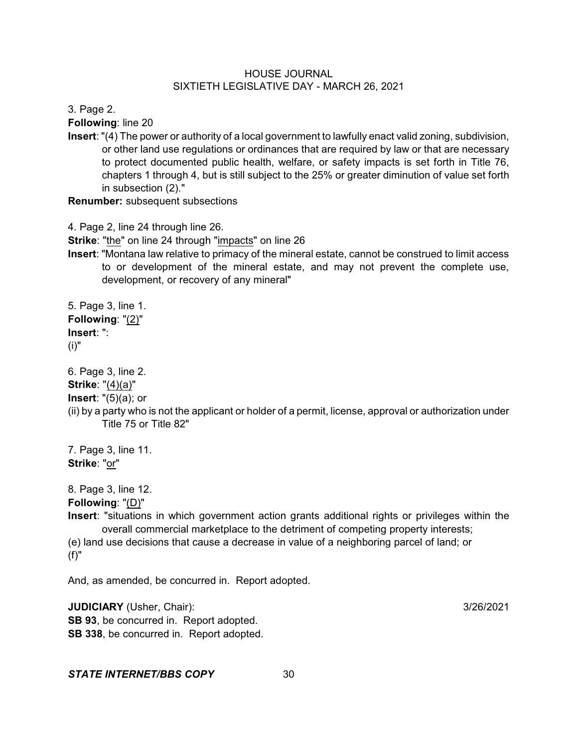3. Page 2.

**Following**: line 20

**Insert**: "(4) The power or authority of a local government to lawfully enact valid zoning, subdivision, or other land use regulations or ordinances that are required by law or that are necessary to protect documented public health, welfare, or safety impacts is set forth in Title 76, chapters 1 through 4, but is still subject to the 25% or greater diminution of value set forth in subsection (2)."

**Renumber:** subsequent subsections

4. Page 2, line 24 through line 26.

**Strike**: "the" on line 24 through "impacts" on line 26

**Insert**: "Montana law relative to primacy of the mineral estate, cannot be construed to limit access to or development of the mineral estate, and may not prevent the complete use, development, or recovery of any mineral"

5. Page 3, line 1. **Following**: "(2)" **Insert**: ": (i)"

6. Page 3, line 2.

**Strike**: "(4)(a)"

**Insert**: "(5)(a); or

(ii) by a party who is not the applicant or holder of a permit, license, approval or authorization under Title 75 or Title 82"

7. Page 3, line 11. **Strike**: "or"

8. Page 3, line 12.

**Following**: "(D)"

**Insert**: "situations in which government action grants additional rights or privileges within the overall commercial marketplace to the detriment of competing property interests; (e) land use decisions that cause a decrease in value of a neighboring parcel of land; or

(f)"

And, as amended, be concurred in. Report adopted.

**JUDICIARY** (Usher, Chair): 3/26/2021 **SB 93**, be concurred in. Report adopted. **SB 338**, be concurred in. Report adopted.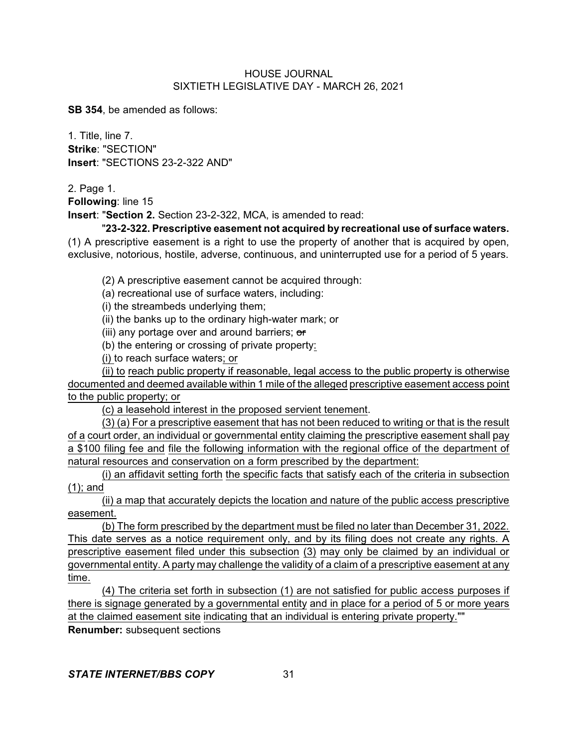**SB 354**, be amended as follows:

1. Title, line 7. **Strike**: "SECTION" **Insert**: "SECTIONS 23-2-322 AND"

2. Page 1.

**Following**: line 15

**Insert**: "**Section 2.** Section 23-2-322, MCA, is amended to read:

"**23-2-322. Prescriptive easement not acquired by recreational use of surface waters.** (1) A prescriptive easement is a right to use the property of another that is acquired by open,

exclusive, notorious, hostile, adverse, continuous, and uninterrupted use for a period of 5 years.

(2) A prescriptive easement cannot be acquired through:

(a) recreational use of surface waters, including:

(i) the streambeds underlying them;

(ii) the banks up to the ordinary high-water mark; or

(iii) any portage over and around barriers; or

(b) the entering or crossing of private property:

(i) to reach surface waters; or

(ii) to reach public property if reasonable, legal access to the public property is otherwise documented and deemed available within 1 mile of the alleged prescriptive easement access point to the public property; or

(c) a leasehold interest in the proposed servient tenement.

(3) (a) For a prescriptive easement that has not been reduced to writing or that is the result of a court order, an individual or governmental entity claiming the prescriptive easement shall pay a \$100 filing fee and file the following information with the regional office of the department of natural resources and conservation on a form prescribed by the department:

(i) an affidavit setting forth the specific facts that satisfy each of the criteria in subsection (1); and

(ii) a map that accurately depicts the location and nature of the public access prescriptive easement.

(b) The form prescribed by the department must be filed no later than December 31, 2022. This date serves as a notice requirement only, and by its filing does not create any rights. A prescriptive easement filed under this subsection (3) may only be claimed by an individual or governmental entity. A party may challenge the validity of a claim of a prescriptive easement at any time.

(4) The criteria set forth in subsection (1) are not satisfied for public access purposes if there is signage generated by a governmental entity and in place for a period of 5 or more years at the claimed easement site indicating that an individual is entering private property.""

**Renumber:** subsequent sections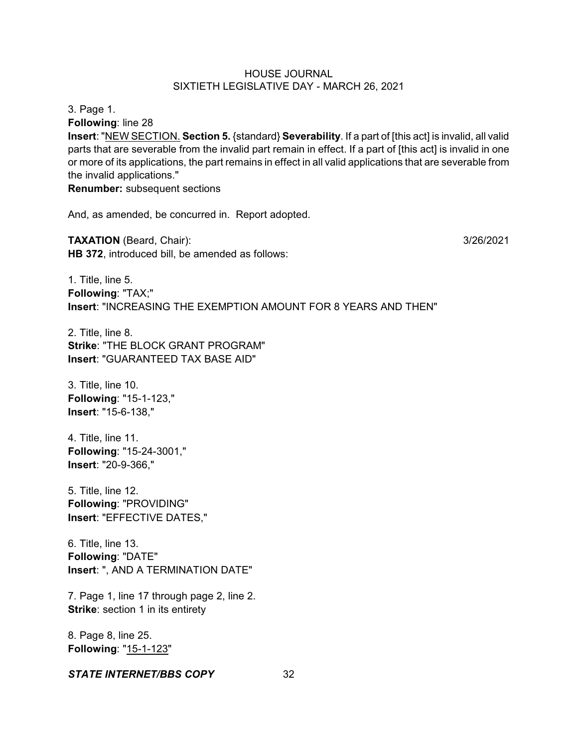3. Page 1.

**Following**: line 28

**Insert**: "NEW SECTION. **Section 5.** {standard} **Severability**. If a part of [this act] is invalid, all valid parts that are severable from the invalid part remain in effect. If a part of [this act] is invalid in one or more of its applications, the part remains in effect in all valid applications that are severable from the invalid applications."

**Renumber:** subsequent sections

And, as amended, be concurred in. Report adopted.

**TAXATION** (Beard, Chair): 3/26/2021 **HB 372**, introduced bill, be amended as follows:

1. Title, line 5. **Following**: "TAX;" **Insert**: "INCREASING THE EXEMPTION AMOUNT FOR 8 YEARS AND THEN"

2. Title, line 8. **Strike**: "THE BLOCK GRANT PROGRAM" **Insert**: "GUARANTEED TAX BASE AID"

3. Title, line 10. **Following**: "15-1-123," **Insert**: "15-6-138,"

4. Title, line 11. **Following**: "15-24-3001," **Insert**: "20-9-366,"

5. Title, line 12. **Following**: "PROVIDING" **Insert**: "EFFECTIVE DATES,"

6. Title, line 13. **Following**: "DATE" **Insert**: ", AND A TERMINATION DATE"

7. Page 1, line 17 through page 2, line 2. **Strike:** section 1 in its entirety

8. Page 8, line 25. **Following**: "15-1-123"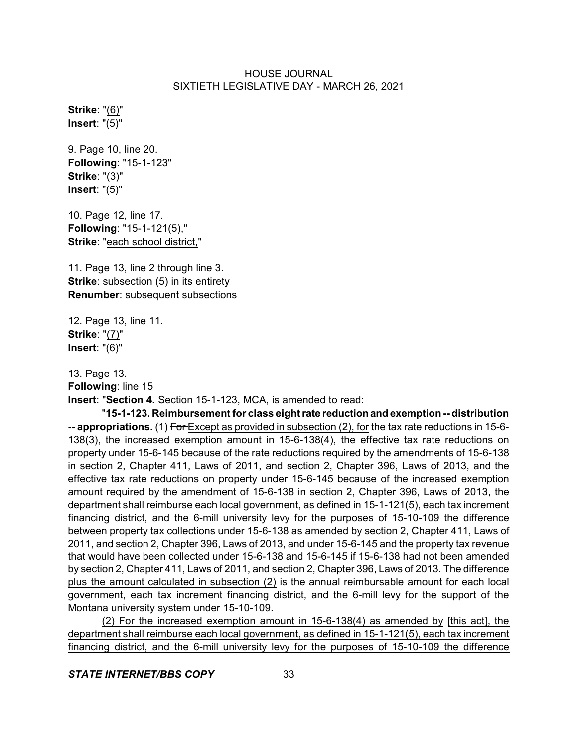**Strike**: "(6)" **Insert**: "(5)"

9. Page 10, line 20. **Following**: "15-1-123" **Strike**: "(3)" **Insert**: "(5)"

10. Page 12, line 17. **Following**: "15-1-121(5)," **Strike**: "each school district,"

11. Page 13, line 2 through line 3. **Strike:** subsection (5) in its entirety **Renumber**: subsequent subsections

12. Page 13, line 11. **Strike**: "(7)" **Insert**: "(6)"

13. Page 13.

**Following**: line 15

**Insert**: "**Section 4.** Section 15-1-123, MCA, is amended to read:

"**15-1-123. Reimbursement for class eightrate reductionand exemption -- distribution -- appropriations.** (1) For Except as provided in subsection (2), for the tax rate reductions in 15-6- 138(3), the increased exemption amount in 15-6-138(4), the effective tax rate reductions on property under 15-6-145 because of the rate reductions required by the amendments of 15-6-138 in section 2, Chapter 411, Laws of 2011, and section 2, Chapter 396, Laws of 2013, and the effective tax rate reductions on property under 15-6-145 because of the increased exemption amount required by the amendment of 15-6-138 in section 2, Chapter 396, Laws of 2013, the department shall reimburse each local government, as defined in 15-1-121(5), each tax increment financing district, and the 6-mill university levy for the purposes of 15-10-109 the difference between property tax collections under 15-6-138 as amended by section 2, Chapter 411, Laws of 2011, and section 2, Chapter 396, Laws of 2013, and under 15-6-145 and the property tax revenue that would have been collected under 15-6-138 and 15-6-145 if 15-6-138 had not been amended by section 2, Chapter 411, Laws of 2011, and section 2, Chapter 396, Laws of 2013. The difference plus the amount calculated in subsection (2) is the annual reimbursable amount for each local government, each tax increment financing district, and the 6-mill levy for the support of the Montana university system under 15-10-109.

(2) For the increased exemption amount in 15-6-138(4) as amended by [this act], the department shall reimburse each local government, as defined in 15-1-121(5), each tax increment financing district, and the 6-mill university levy for the purposes of 15-10-109 the difference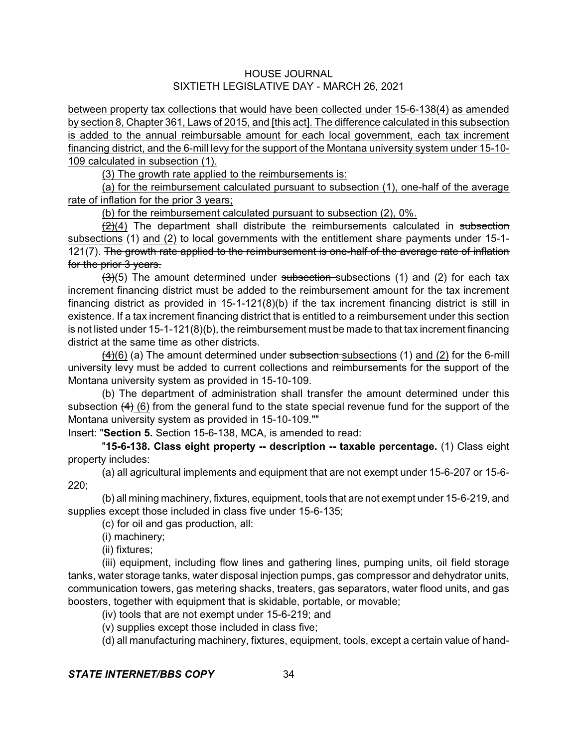between property tax collections that would have been collected under 15-6-138(4) as amended by section 8, Chapter 361, Laws of 2015, and [this act]. The difference calculated in this subsection is added to the annual reimbursable amount for each local government, each tax increment financing district, and the 6-mill levy for the support of the Montana university system under 15-10- 109 calculated in subsection (1).

(3) The growth rate applied to the reimbursements is:

(a) for the reimbursement calculated pursuant to subsection (1), one-half of the average rate of inflation for the prior 3 years;

(b) for the reimbursement calculated pursuant to subsection (2), 0%.

 $\left(\frac{2}{2}\right)$  The department shall distribute the reimbursements calculated in subsection subsections (1) and (2) to local governments with the entitlement share payments under 15-1- 121(7). The growth rate applied to the reimbursement is one-half of the average rate of inflation for the prior 3 years.

 $(3)(5)$  The amount determined under subsection subsections (1) and (2) for each tax increment financing district must be added to the reimbursement amount for the tax increment financing district as provided in 15-1-121(8)(b) if the tax increment financing district is still in existence. If a tax increment financing district that is entitled to a reimbursement under this section is not listed under 15-1-121(8)(b), the reimbursement must be made to that tax increment financing district at the same time as other districts.

 $(4)(6)$  (a) The amount determined under subsection subsections (1) and (2) for the 6-mill university levy must be added to current collections and reimbursements for the support of the Montana university system as provided in 15-10-109.

(b) The department of administration shall transfer the amount determined under this subsection  $(4)$  (6) from the general fund to the state special revenue fund for the support of the Montana university system as provided in 15-10-109.""

Insert: "**Section 5.** Section 15-6-138, MCA, is amended to read:

"**15-6-138. Class eight property -- description -- taxable percentage.** (1) Class eight property includes:

(a) all agricultural implements and equipment that are not exempt under 15-6-207 or 15-6- 220;

(b) all mining machinery, fixtures, equipment, tools that are not exempt under 15-6-219, and supplies except those included in class five under 15-6-135;

(c) for oil and gas production, all:

(i) machinery;

(ii) fixtures;

(iii) equipment, including flow lines and gathering lines, pumping units, oil field storage tanks, water storage tanks, water disposal injection pumps, gas compressor and dehydrator units, communication towers, gas metering shacks, treaters, gas separators, water flood units, and gas boosters, together with equipment that is skidable, portable, or movable;

(iv) tools that are not exempt under 15-6-219; and

(v) supplies except those included in class five;

(d) all manufacturing machinery, fixtures, equipment, tools, except a certain value of hand-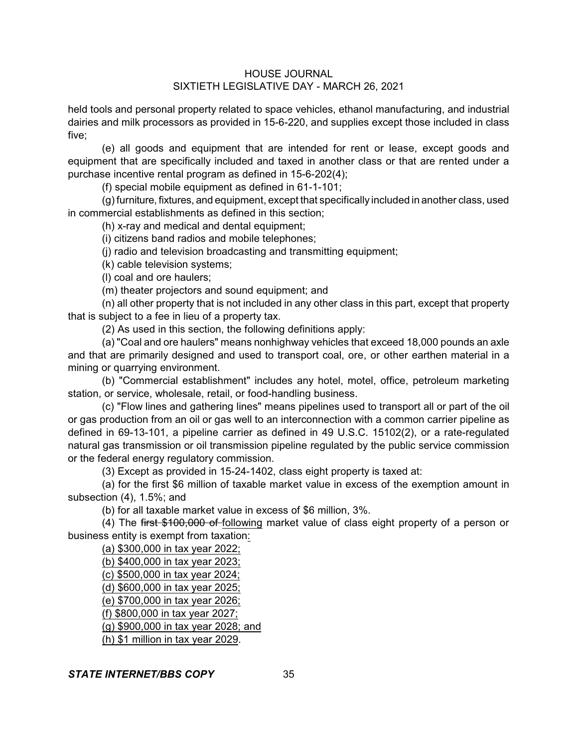held tools and personal property related to space vehicles, ethanol manufacturing, and industrial dairies and milk processors as provided in 15-6-220, and supplies except those included in class five;

(e) all goods and equipment that are intended for rent or lease, except goods and equipment that are specifically included and taxed in another class or that are rented under a purchase incentive rental program as defined in 15-6-202(4);

(f) special mobile equipment as defined in 61-1-101;

(g)furniture, fixtures, and equipment, except that specifically included in another class, used in commercial establishments as defined in this section;

(h) x-ray and medical and dental equipment;

(i) citizens band radios and mobile telephones;

(j) radio and television broadcasting and transmitting equipment;

(k) cable television systems;

(l) coal and ore haulers;

(m) theater projectors and sound equipment; and

(n) all other property that is not included in any other class in this part, except that property that is subject to a fee in lieu of a property tax.

(2) As used in this section, the following definitions apply:

(a) "Coal and ore haulers" means nonhighway vehicles that exceed 18,000 pounds an axle and that are primarily designed and used to transport coal, ore, or other earthen material in a mining or quarrying environment.

(b) "Commercial establishment" includes any hotel, motel, office, petroleum marketing station, or service, wholesale, retail, or food-handling business.

(c) "Flow lines and gathering lines" means pipelines used to transport all or part of the oil or gas production from an oil or gas well to an interconnection with a common carrier pipeline as defined in 69-13-101, a pipeline carrier as defined in 49 U.S.C. 15102(2), or a rate-regulated natural gas transmission or oil transmission pipeline regulated by the public service commission or the federal energy regulatory commission.

(3) Except as provided in 15-24-1402, class eight property is taxed at:

(a) for the first \$6 million of taxable market value in excess of the exemption amount in subsection (4), 1.5%; and

(b) for all taxable market value in excess of \$6 million, 3%.

(4) The first \$100,000 of following market value of class eight property of a person or business entity is exempt from taxation:

(a) \$300,000 in tax year 2022;

(b) \$400,000 in tax year 2023;

(c) \$500,000 in tax year 2024;

(d) \$600,000 in tax year 2025;

(e) \$700,000 in tax year 2026;

(f) \$800,000 in tax year 2027;

(g) \$900,000 in tax year 2028; and

(h) \$1 million in tax year 2029.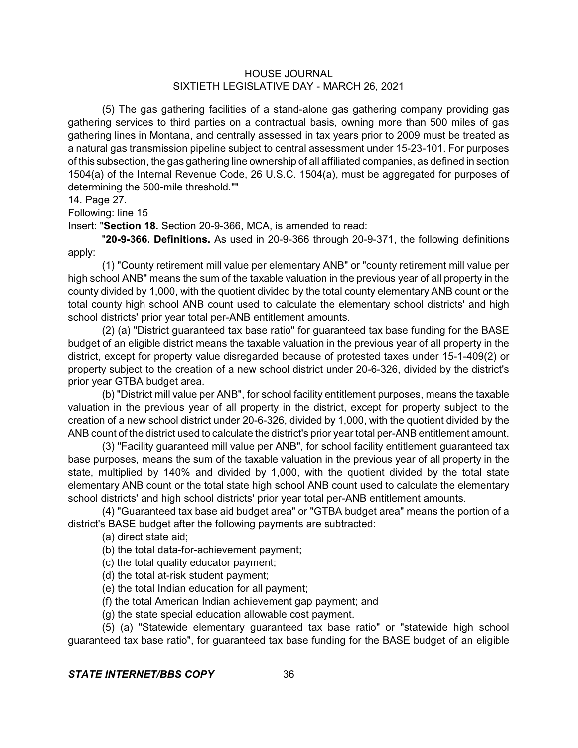(5) The gas gathering facilities of a stand-alone gas gathering company providing gas gathering services to third parties on a contractual basis, owning more than 500 miles of gas gathering lines in Montana, and centrally assessed in tax years prior to 2009 must be treated as a natural gas transmission pipeline subject to central assessment under 15-23-101. For purposes of this subsection, the gas gathering line ownership of all affiliated companies, as defined in section 1504(a) of the Internal Revenue Code, 26 U.S.C. 1504(a), must be aggregated for purposes of determining the 500-mile threshold.""

#### 14. Page 27.

Following: line 15

Insert: "**Section 18.** Section 20-9-366, MCA, is amended to read:

"**20-9-366. Definitions.** As used in 20-9-366 through 20-9-371, the following definitions apply:

(1) "County retirement mill value per elementary ANB" or "county retirement mill value per high school ANB" means the sum of the taxable valuation in the previous year of all property in the county divided by 1,000, with the quotient divided by the total county elementary ANB count or the total county high school ANB count used to calculate the elementary school districts' and high school districts' prior year total per-ANB entitlement amounts.

(2) (a) "District guaranteed tax base ratio" for guaranteed tax base funding for the BASE budget of an eligible district means the taxable valuation in the previous year of all property in the district, except for property value disregarded because of protested taxes under 15-1-409(2) or property subject to the creation of a new school district under 20-6-326, divided by the district's prior year GTBA budget area.

(b) "District mill value per ANB", for school facility entitlement purposes, means the taxable valuation in the previous year of all property in the district, except for property subject to the creation of a new school district under 20-6-326, divided by 1,000, with the quotient divided by the ANB count of the district used to calculate the district's prior year total per-ANB entitlement amount.

(3) "Facility guaranteed mill value per ANB", for school facility entitlement guaranteed tax base purposes, means the sum of the taxable valuation in the previous year of all property in the state, multiplied by 140% and divided by 1,000, with the quotient divided by the total state elementary ANB count or the total state high school ANB count used to calculate the elementary school districts' and high school districts' prior year total per-ANB entitlement amounts.

(4) "Guaranteed tax base aid budget area" or "GTBA budget area" means the portion of a district's BASE budget after the following payments are subtracted:

(a) direct state aid;

(b) the total data-for-achievement payment;

(c) the total quality educator payment;

(d) the total at-risk student payment;

(e) the total Indian education for all payment;

(f) the total American Indian achievement gap payment; and

(g) the state special education allowable cost payment.

(5) (a) "Statewide elementary guaranteed tax base ratio" or "statewide high school guaranteed tax base ratio", for guaranteed tax base funding for the BASE budget of an eligible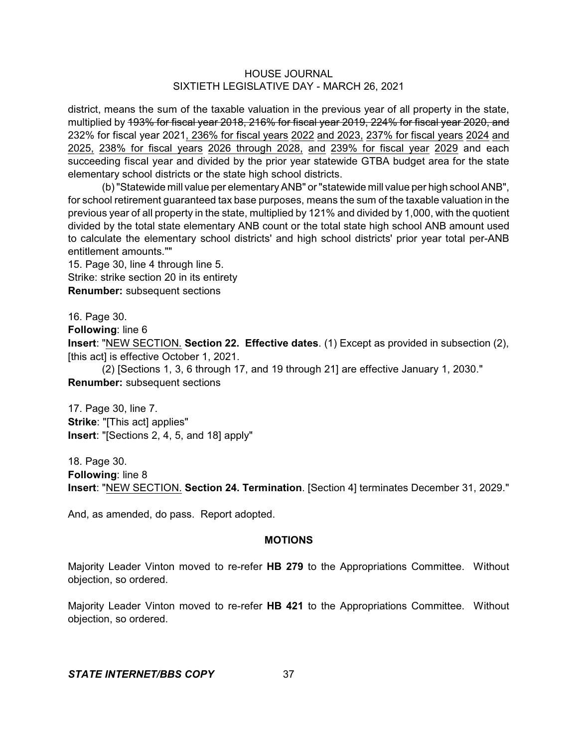district, means the sum of the taxable valuation in the previous year of all property in the state, multiplied by 193% for fiscal year 2018, 216% for fiscal year 2019, 224% for fiscal year 2020, and 232% for fiscal year 2021, 236% for fiscal years 2022 and 2023, 237% for fiscal years 2024 and 2025, 238% for fiscal years 2026 through 2028, and 239% for fiscal year 2029 and each succeeding fiscal year and divided by the prior year statewide GTBA budget area for the state elementary school districts or the state high school districts.

(b)"Statewide mill value per elementaryANB" or"statewide mill value per high school ANB", for school retirement guaranteed tax base purposes, means the sum of the taxable valuation in the previous year of all property in the state, multiplied by 121% and divided by 1,000, with the quotient divided by the total state elementary ANB count or the total state high school ANB amount used to calculate the elementary school districts' and high school districts' prior year total per-ANB entitlement amounts.""

15. Page 30, line 4 through line 5. Strike: strike section 20 in its entirety **Renumber:** subsequent sections

16. Page 30.

**Following**: line 6

**Insert**: "NEW SECTION. **Section 22. Effective dates**. (1) Except as provided in subsection (2), [this act] is effective October 1, 2021.

(2) [Sections 1, 3, 6 through 17, and 19 through 21] are effective January 1, 2030." **Renumber:** subsequent sections

17. Page 30, line 7. **Strike**: "[This act] applies" **Insert**: "[Sections 2, 4, 5, and 18] apply"

18. Page 30. **Following**: line 8 **Insert**: "NEW SECTION. **Section 24. Termination**. [Section 4] terminates December 31, 2029."

And, as amended, do pass. Report adopted.

## **MOTIONS**

Majority Leader Vinton moved to re-refer **HB 279** to the Appropriations Committee. Without objection, so ordered.

Majority Leader Vinton moved to re-refer **HB 421** to the Appropriations Committee. Without objection, so ordered.